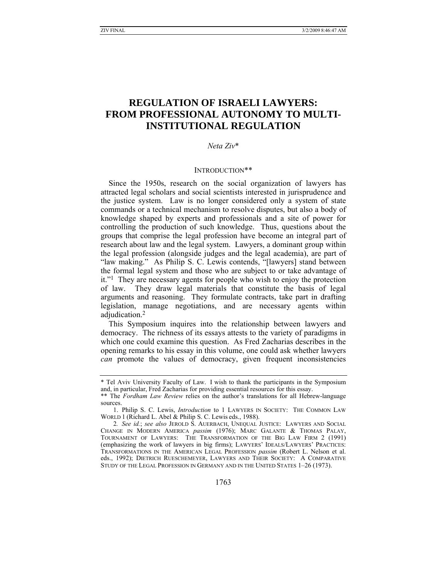# **REGULATION OF ISRAELI LAWYERS: FROM PROFESSIONAL AUTONOMY TO MULTI-INSTITUTIONAL REGULATION**

# *Neta Ziv*\*

## INTRODUCTION\*\*

Since the 1950s, research on the social organization of lawyers has attracted legal scholars and social scientists interested in jurisprudence and the justice system. Law is no longer considered only a system of state commands or a technical mechanism to resolve disputes, but also a body of knowledge shaped by experts and professionals and a site of power for controlling the production of such knowledge. Thus, questions about the groups that comprise the legal profession have become an integral part of research about law and the legal system. Lawyers, a dominant group within the legal profession (alongside judges and the legal academia), are part of "law making." As Philip S. C. Lewis contends, "[lawyers] stand between the formal legal system and those who are subject to or take advantage of it."1 They are necessary agents for people who wish to enjoy the protection of law. They draw legal materials that constitute the basis of legal arguments and reasoning. They formulate contracts, take part in drafting legislation, manage negotiations, and are necessary agents within adjudication.2

This Symposium inquires into the relationship between lawyers and democracy. The richness of its essays attests to the variety of paradigms in which one could examine this question. As Fred Zacharias describes in the opening remarks to his essay in this volume, one could ask whether lawyers *can* promote the values of democracy, given frequent inconsistencies

<sup>\*</sup> Tel Aviv University Faculty of Law. I wish to thank the participants in the Symposium and, in particular, Fred Zacharias for providing essential resources for this essay.

<sup>\*\*</sup> The *Fordham Law Review* relies on the author's translations for all Hebrew-language sources.

 <sup>1.</sup> Philip S. C. Lewis, *Introduction* to 1 LAWYERS IN SOCIETY: THE COMMON LAW WORLD 1 (Richard L. Abel & Philip S. C. Lewis eds., 1988).

<sup>2</sup>*. See id.*; *see also* JEROLD S. AUERBACH, UNEQUAL JUSTICE: LAWYERS AND SOCIAL CHANGE IN MODERN AMERICA *passim* (1976); MARC GALANTE & THOMAS PALAY, TOURNAMENT OF LAWYERS: THE TRANSFORMATION OF THE BIG LAW FIRM 2 (1991) (emphasizing the work of lawyers in big firms); LAWYERS' IDEALS/LAWYERS' PRACTICES: TRANSFORMATIONS IN THE AMERICAN LEGAL PROFESSION *passim* (Robert L. Nelson et al. eds., 1992); DIETRICH RUESCHEMEYER, LAWYERS AND THEIR SOCIETY: A COMPARATIVE STUDY OF THE LEGAL PROFESSION IN GERMANY AND IN THE UNITED STATES 1–26 (1973).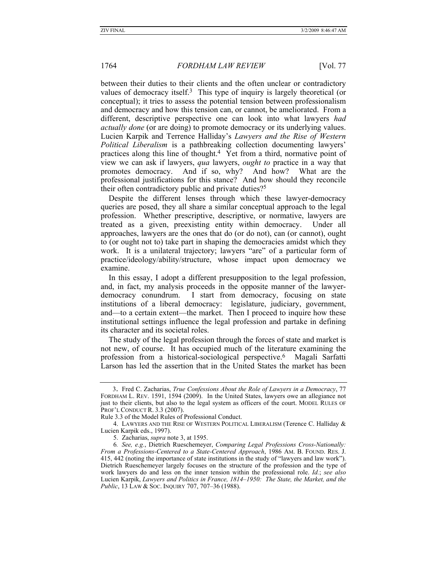between their duties to their clients and the often unclear or contradictory values of democracy itself.<sup>3</sup> This type of inquiry is largely theoretical (or conceptual); it tries to assess the potential tension between professionalism and democracy and how this tension can, or cannot, be ameliorated. From a different, descriptive perspective one can look into what lawyers *had actually done* (or are doing) to promote democracy or its underlying values. Lucien Karpik and Terrence Halliday's *Lawyers and the Rise of Western Political Liberalism* is a pathbreaking collection documenting lawyers' practices along this line of thought.4 Yet from a third, normative point of view we can ask if lawyers, *qua* lawyers, *ought to* practice in a way that And if so, why? And how? What are the professional justifications for this stance? And how should they reconcile their often contradictory public and private duties?5

Despite the different lenses through which these lawyer-democracy queries are posed, they all share a similar conceptual approach to the legal profession. Whether prescriptive, descriptive, or normative, lawyers are treated as a given, preexisting entity within democracy. Under all approaches, lawyers are the ones that do (or do not), can (or cannot), ought to (or ought not to) take part in shaping the democracies amidst which they work. It is a unilateral trajectory; lawyers "are" of a particular form of practice/ideology/ability/structure, whose impact upon democracy we examine.

In this essay, I adopt a different presupposition to the legal profession, and, in fact, my analysis proceeds in the opposite manner of the lawyerdemocracy conundrum. I start from democracy, focusing on state institutions of a liberal democracy: legislature, judiciary, government, and—to a certain extent—the market. Then I proceed to inquire how these institutional settings influence the legal profession and partake in defining its character and its societal roles.

The study of the legal profession through the forces of state and market is not new, of course. It has occupied much of the literature examining the profession from a historical-sociological perspective.6 Magali Sarfatti Larson has led the assertion that in the United States the market has been

<sup>3.</sup> Fred C. Zacharias, *True Confessions About the Role of Lawyers in a Democracy*, 77 FORDHAM L. REV. 1591, 1594 (2009). In the United States, lawyers owe an allegiance not just to their clients, but also to the legal system as officers of the court. MODEL RULES OF PROF'L CONDUCT R. 3.3 (2007).

Rule 3.3 of the Model Rules of Professional Conduct.

<sup>4.</sup> LAWYERS AND THE RISE OF WESTERN POLITICAL LIBERALISM (Terence C. Halliday & Lucien Karpik eds., 1997).

 <sup>5.</sup> Zacharias, *supra* note 3, at 1595.

<sup>6</sup>*. See, e.g.*, Dietrich Rueschemeyer, *Comparing Legal Professions Cross-Nationally: From a Professions-Centered to a State-Centered Approach*, 1986 AM. B. FOUND. RES. J. 415, 442 (noting the importance of state institutions in the study of "lawyers and law work"). Dietrich Rueschemeyer largely focuses on the structure of the profession and the type of work lawyers do and less on the inner tension within the professional role. *Id.*; *see also* Lucien Karpik, *Lawyers and Politics in France, 1814–1950: The State, the Market, and the Public*, 13 LAW & Soc. INQUIRY 707, 707–36 (1988).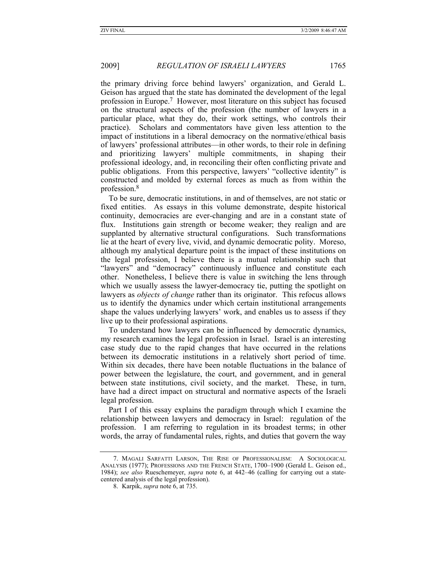the primary driving force behind lawyers' organization, and Gerald L. Geison has argued that the state has dominated the development of the legal profession in Europe.7 However, most literature on this subject has focused on the structural aspects of the profession (the number of lawyers in a particular place, what they do, their work settings, who controls their practice). Scholars and commentators have given less attention to the impact of institutions in a liberal democracy on the normative/ethical basis of lawyers' professional attributes—in other words, to their role in defining and prioritizing lawyers' multiple commitments, in shaping their professional ideology, and, in reconciling their often conflicting private and public obligations. From this perspective, lawyers' "collective identity" is constructed and molded by external forces as much as from within the profession.8

To be sure, democratic institutions, in and of themselves, are not static or fixed entities. As essays in this volume demonstrate, despite historical continuity, democracies are ever-changing and are in a constant state of flux. Institutions gain strength or become weaker; they realign and are supplanted by alternative structural configurations. Such transformations lie at the heart of every live, vivid, and dynamic democratic polity. Moreso, although my analytical departure point is the impact of these institutions on the legal profession, I believe there is a mutual relationship such that "lawyers" and "democracy" continuously influence and constitute each other. Nonetheless, I believe there is value in switching the lens through which we usually assess the lawyer-democracy tie, putting the spotlight on lawyers as *objects of change* rather than its originator. This refocus allows us to identify the dynamics under which certain institutional arrangements shape the values underlying lawyers' work, and enables us to assess if they live up to their professional aspirations.

To understand how lawyers can be influenced by democratic dynamics, my research examines the legal profession in Israel. Israel is an interesting case study due to the rapid changes that have occurred in the relations between its democratic institutions in a relatively short period of time. Within six decades, there have been notable fluctuations in the balance of power between the legislature, the court, and government, and in general between state institutions, civil society, and the market. These, in turn, have had a direct impact on structural and normative aspects of the Israeli legal profession.

Part I of this essay explains the paradigm through which I examine the relationship between lawyers and democracy in Israel: regulation of the profession. I am referring to regulation in its broadest terms; in other words, the array of fundamental rules, rights, and duties that govern the way

 <sup>7.</sup> MAGALI SARFATTI LARSON, THE RISE OF PROFESSIONALISM: A SOCIOLOGICAL ANALYSIS (1977); PROFESSIONS AND THE FRENCH STATE, 1700–1900 (Gerald L. Geison ed., 1984); *see also* Rueschemeyer, *supra* note 6, at 442–46 (calling for carrying out a statecentered analysis of the legal profession).

 <sup>8.</sup> Karpik, *supra* note 6, at 735.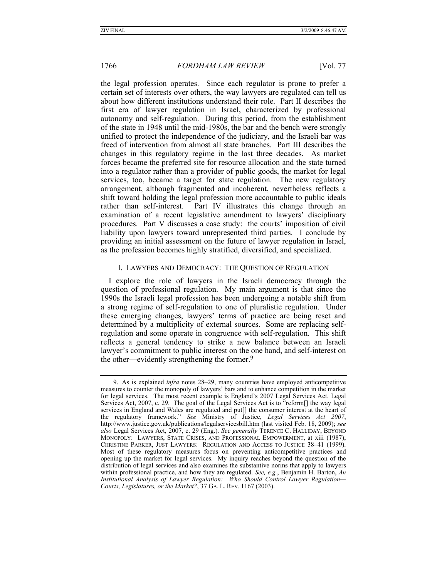the legal profession operates. Since each regulator is prone to prefer a certain set of interests over others, the way lawyers are regulated can tell us about how different institutions understand their role. Part II describes the first era of lawyer regulation in Israel, characterized by professional autonomy and self-regulation. During this period, from the establishment of the state in 1948 until the mid-1980s, the bar and the bench were strongly unified to protect the independence of the judiciary, and the Israeli bar was freed of intervention from almost all state branches. Part III describes the changes in this regulatory regime in the last three decades. As market forces became the preferred site for resource allocation and the state turned into a regulator rather than a provider of public goods, the market for legal services, too, became a target for state regulation. The new regulatory arrangement, although fragmented and incoherent, nevertheless reflects a shift toward holding the legal profession more accountable to public ideals rather than self-interest. Part IV illustrates this change through an examination of a recent legislative amendment to lawyers' disciplinary procedures. Part V discusses a case study: the courts' imposition of civil liability upon lawyers toward unrepresented third parties. I conclude by providing an initial assessment on the future of lawyer regulation in Israel, as the profession becomes highly stratified, diversified, and specialized.

#### I. LAWYERS AND DEMOCRACY: THE QUESTION OF REGULATION

I explore the role of lawyers in the Israeli democracy through the question of professional regulation. My main argument is that since the 1990s the Israeli legal profession has been undergoing a notable shift from a strong regime of self-regulation to one of pluralistic regulation. Under these emerging changes, lawyers' terms of practice are being reset and determined by a multiplicity of external sources. Some are replacing selfregulation and some operate in congruence with self-regulation. This shift reflects a general tendency to strike a new balance between an Israeli lawyer's commitment to public interest on the one hand, and self-interest on the other—evidently strengthening the former.9

 <sup>9.</sup> As is explained *infra* notes 28–29, many countries have employed anticompetitive measures to counter the monopoly of lawyers' bars and to enhance competition in the market for legal services. The most recent example is England's 2007 Legal Services Act. Legal Services Act, 2007, c. 29. The goal of the Legal Services Act is to "reform[] the way legal services in England and Wales are regulated and put[] the consumer interest at the heart of the regulatory framework." *See* Ministry of Justice, *Legal Services Act 2007*, http://www.justice.gov.uk/publications/legalservicesbill.htm (last visited Feb. 18, 2009); *see also* Legal Services Act, 2007, c. 29 (Eng.). *See generally* TERENCE C. HALLIDAY, BEYOND MONOPOLY: LAWYERS, STATE CRISES, AND PROFESSIONAL EMPOWERMENT, at xiii (1987); CHRISTINE PARKER, JUST LAWYERS: REGULATION AND ACCESS TO JUSTICE 38–41 (1999). Most of these regulatory measures focus on preventing anticompetitive practices and opening up the market for legal services. My inquiry reaches beyond the question of the distribution of legal services and also examines the substantive norms that apply to lawyers within professional practice, and how they are regulated. *See, e.g.*, Benjamin H. Barton, *An Institutional Analysis of Lawyer Regulation: Who Should Control Lawyer Regulation— Courts, Legislatures, or the Market?*, 37 GA. L. REV. 1167 (2003).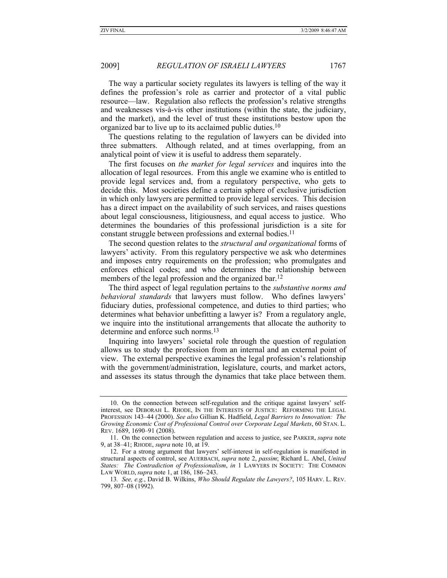The way a particular society regulates its lawyers is telling of the way it defines the profession's role as carrier and protector of a vital public resource—law. Regulation also reflects the profession's relative strengths and weaknesses vis-à-vis other institutions (within the state, the judiciary, and the market), and the level of trust these institutions bestow upon the organized bar to live up to its acclaimed public duties.10

The questions relating to the regulation of lawyers can be divided into three submatters. Although related, and at times overlapping, from an analytical point of view it is useful to address them separately.

The first focuses on *the market for legal services* and inquires into the allocation of legal resources. From this angle we examine who is entitled to provide legal services and, from a regulatory perspective, who gets to decide this. Most societies define a certain sphere of exclusive jurisdiction in which only lawyers are permitted to provide legal services. This decision has a direct impact on the availability of such services, and raises questions about legal consciousness, litigiousness, and equal access to justice. Who determines the boundaries of this professional jurisdiction is a site for constant struggle between professions and external bodies.<sup>11</sup>

The second question relates to the *structural and organizational* forms of lawyers' activity. From this regulatory perspective we ask who determines and imposes entry requirements on the profession; who promulgates and enforces ethical codes; and who determines the relationship between members of the legal profession and the organized bar.<sup>12</sup>

The third aspect of legal regulation pertains to the *substantive norms and behavioral standards* that lawyers must follow. Who defines lawyers' fiduciary duties, professional competence, and duties to third parties; who determines what behavior unbefitting a lawyer is? From a regulatory angle, we inquire into the institutional arrangements that allocate the authority to determine and enforce such norms.<sup>13</sup>

Inquiring into lawyers' societal role through the question of regulation allows us to study the profession from an internal and an external point of view. The external perspective examines the legal profession's relationship with the government/administration, legislature, courts, and market actors, and assesses its status through the dynamics that take place between them.

 <sup>10.</sup> On the connection between self-regulation and the critique against lawyers' selfinterest, see DEBORAH L. RHODE, IN THE INTERESTS OF JUSTICE: REFORMING THE LEGAL PROFESSION 143–44 (2000). *See also* Gillian K. Hadfield, *Legal Barriers to Innovation: The Growing Economic Cost of Professional Control over Corporate Legal Markets*, 60 STAN. L. REV. 1689, 1690–91 (2008).

 <sup>11.</sup> On the connection between regulation and access to justice, see PARKER, *supra* note 9, at 38–41; RHODE, *supra* note 10, at 19.

 <sup>12.</sup> For a strong argument that lawyers' self-interest in self-regulation is manifested in structural aspects of control, see AUERBACH, *supra* note 2, *passim*; Richard L. Abel, *United States: The Contradiction of Professionalism*, *in* 1 LAWYERS IN SOCIETY: THE COMMON LAW WORLD, *supra* note 1, at 186, 186–243.

<sup>13</sup>*. See, e.g.*, David B. Wilkins, *Who Should Regulate the Lawyers?*, 105 HARV. L. REV. 799, 807–08 (1992).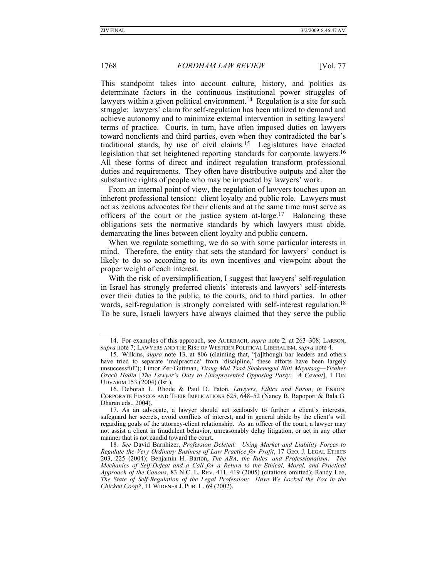This standpoint takes into account culture, history, and politics as determinate factors in the continuous institutional power struggles of lawyers within a given political environment.<sup>14</sup> Regulation is a site for such struggle: lawyers' claim for self-regulation has been utilized to demand and achieve autonomy and to minimize external intervention in setting lawyers' terms of practice. Courts, in turn, have often imposed duties on lawyers toward nonclients and third parties, even when they contradicted the bar's traditional stands, by use of civil claims.15 Legislatures have enacted legislation that set heightened reporting standards for corporate lawyers.16 All these forms of direct and indirect regulation transform professional duties and requirements. They often have distributive outputs and alter the substantive rights of people who may be impacted by lawyers' work.

From an internal point of view, the regulation of lawyers touches upon an inherent professional tension: client loyalty and public role. Lawyers must act as zealous advocates for their clients and at the same time must serve as officers of the court or the justice system at-large.17 Balancing these obligations sets the normative standards by which lawyers must abide, demarcating the lines between client loyalty and public concern.

When we regulate something, we do so with some particular interests in mind. Therefore, the entity that sets the standard for lawyers' conduct is likely to do so according to its own incentives and viewpoint about the proper weight of each interest.

With the risk of oversimplification, I suggest that lawyers' self-regulation in Israel has strongly preferred clients' interests and lawyers' self-interests over their duties to the public, to the courts, and to third parties. In other words, self-regulation is strongly correlated with self-interest regulation.<sup>18</sup> To be sure, Israeli lawyers have always claimed that they serve the public

 <sup>14.</sup> For examples of this approach, see AUERBACH, *supra* note 2, at 263–308; LARSON, *supra* note 7; LAWYERS AND THE RISE OF WESTERN POLITICAL LIBERALISM, *supra* note 4.

 <sup>15.</sup> Wilkins, *supra* note 13, at 806 (claiming that, "[a]lthough bar leaders and others have tried to separate 'malpractice' from 'discipline,' these efforts have been largely unsuccessful"); Limor Zer-Guttman, *Yitsug Mul Tsad Shekeneged Bilti Meyutsag—Yizaher Orech Hadin* [*The Lawyer's Duty to Unrepresented Opposing Party: A Caveat*], 1 DIN UDVARIM 153 (2004) (Isr.).

 <sup>16.</sup> Deborah L. Rhode & Paul D. Paton, *Lawyers, Ethics and Enron*, *in* ENRON: CORPORATE FIASCOS AND THEIR IMPLICATIONS 625, 648–52 (Nancy B. Rapoport & Bala G. Dharan eds., 2004).

 <sup>17.</sup> As an advocate, a lawyer should act zealously to further a client's interests, safeguard her secrets, avoid conflicts of interest, and in general abide by the client's will regarding goals of the attorney-client relationship. As an officer of the court, a lawyer may not assist a client in fraudulent behavior, unreasonably delay litigation, or act in any other manner that is not candid toward the court.

<sup>18</sup>*. See* David Barnhizer, *Profession Deleted: Using Market and Liability Forces to Regulate the Very Ordinary Business of Law Practice for Profit*, 17 GEO. J. LEGAL ETHICS 203, 225 (2004); Benjamin H. Barton, *The ABA, the Rules, and Professionalism: The Mechanics of Self-Defeat and a Call for a Return to the Ethical, Moral, and Practical Approach of the Canons*, 83 N.C. L. REV. 411, 419 (2005) (citations omitted); Randy Lee, *The State of Self-Regulation of the Legal Profession: Have We Locked the Fox in the Chicken Coop?*, 11 WIDENER J. PUB. L. 69 (2002).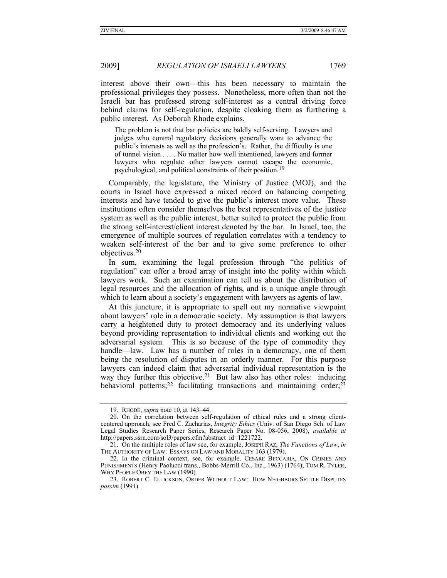interest above their own—this has been necessary to maintain the professional privileges they possess. Nonetheless, more often than not the Israeli bar has professed strong self-interest as a central driving force behind claims for self-regulation, despite cloaking them as furthering a public interest. As Deborah Rhode explains,

The problem is not that bar policies are baldly self-serving. Lawyers and judges who control regulatory decisions generally want to advance the public's interests as well as the profession's. Rather, the difficulty is one of tunnel vision . . . . No matter how well intentioned, lawyers and former lawyers who regulate other lawyers cannot escape the economic, psychological, and political constraints of their position.19

Comparably, the legislature, the Ministry of Justice (MOJ), and the courts in Israel have expressed a mixed record on balancing competing interests and have tended to give the public's interest more value. These institutions often consider themselves the best representatives of the justice system as well as the public interest, better suited to protect the public from the strong self-interest/client interest denoted by the bar. In Israel, too, the emergence of multiple sources of regulation correlates with a tendency to weaken self-interest of the bar and to give some preference to other objectives.20

In sum, examining the legal profession through "the politics of regulation" can offer a broad array of insight into the polity within which lawyers work. Such an examination can tell us about the distribution of legal resources and the allocation of rights, and is a unique angle through which to learn about a society's engagement with lawyers as agents of law.

At this juncture, it is appropriate to spell out my normative viewpoint about lawyers' role in a democratic society. My assumption is that lawyers carry a heightened duty to protect democracy and its underlying values beyond providing representation to individual clients and working out the adversarial system. This is so because of the type of commodity they handle—law. Law has a number of roles in a democracy, one of them being the resolution of disputes in an orderly manner. For this purpose lawyers can indeed claim that adversarial individual representation is the way they further this objective.<sup>21</sup> But law also has other roles: inducing behavioral patterns;<sup>22</sup> facilitating transactions and maintaining order;<sup>23</sup>

 <sup>19.</sup> RHODE, *supra* note 10, at 143–44.

 <sup>20.</sup> On the correlation between self-regulation of ethical rules and a strong clientcentered approach, see Fred C. Zacharias, *Integrity Ethics* (Univ. of San Diego Sch. of Law Legal Studies Research Paper Series, Research Paper No. 08-056, 2008), *available at* http://papers.ssrn.com/sol3/papers.cfm?abstract\_id=1221722.

 <sup>21.</sup> On the multiple roles of law see, for example, JOSEPH RAZ, *The Functions of Law*, *in* THE AUTHORITY OF LAW: ESSAYS ON LAW AND MORALITY 163 (1979).

 <sup>22.</sup> In the criminal context, see, for example, CESARE BECCARIA, ON CRIMES AND PUNISHMENTS (Henry Paolucci trans., Bobbs-Merrill Co., Inc., 1963) (1764); TOM R. TYLER, WHY PEOPLE OBEY THE LAW (1990).

 <sup>23.</sup> ROBERT C. ELLICKSON, ORDER WITHOUT LAW: HOW NEIGHBORS SETTLE DISPUTES *passim* (1991).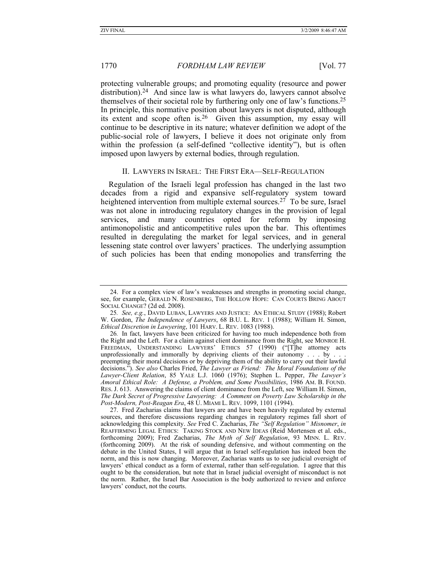protecting vulnerable groups; and promoting equality (resource and power distribution).<sup>24</sup> And since law is what lawyers do, lawyers cannot absolve themselves of their societal role by furthering only one of law's functions.25 In principle, this normative position about lawyers is not disputed, although its extent and scope often is.26 Given this assumption, my essay will continue to be descriptive in its nature; whatever definition we adopt of the public-social role of lawyers, I believe it does not originate only from within the profession (a self-defined "collective identity"), but is often imposed upon lawyers by external bodies, through regulation.

# II. LAWYERS IN ISRAEL: THE FIRST ERA—SELF-REGULATION

Regulation of the Israeli legal profession has changed in the last two decades from a rigid and expansive self-regulatory system toward heightened intervention from multiple external sources.<sup>27</sup> To be sure, Israel was not alone in introducing regulatory changes in the provision of legal services, and many countries opted for reform by imposing antimonopolistic and anticompetitive rules upon the bar. This oftentimes resulted in deregulating the market for legal services, and in general lessening state control over lawyers' practices. The underlying assumption of such policies has been that ending monopolies and transferring the

 <sup>24.</sup> For a complex view of law's weaknesses and strengths in promoting social change, see, for example, GERALD N. ROSENBERG, THE HOLLOW HOPE: CAN COURTS BRING ABOUT SOCIAL CHANGE? (2d ed. 2008).

<sup>25</sup>*. See, e.g.*, DAVID LUBAN, LAWYERS AND JUSTICE: AN ETHICAL STUDY (1988); Robert W. Gordon, *The Independence of Lawyers*, 68 B.U. L. REV. 1 (1988); William H. Simon, *Ethical Discretion in Lawyering*, 101 HARV. L. REV. 1083 (1988).

 <sup>26</sup>*.* In fact, lawyers have been criticized for having too much independence both from the Right and the Left. For a claim against client dominance from the Right, see MONROE H. FREEDMAN, UNDERSTANDING LAWYERS' ETHICS 57 (1990) ("[T]he attorney acts unprofessionally and immorally by depriving clients of their autonomy . . . by . . . preempting their moral decisions or by depriving them of the ability to carry out their lawful decisions."). *See also* Charles Fried, *The Lawyer as Friend: The Moral Foundations of the Lawyer-Client Relation*, 85 YALE L.J. 1060 (1976); Stephen L. Pepper, *The Lawyer's Amoral Ethical Role: A Defense, a Problem, and Some Possibilities*, 1986 AM. B. FOUND. RES. J. 613. Answering the claims of client dominance from the Left, see William H. Simon, *The Dark Secret of Progressive Lawyering: A Comment on Poverty Law Scholarship in the Post-Modern, Post-Reagan Era*, 48 U. MIAMI L. REV. 1099, 1101 (1994).

 <sup>27.</sup> Fred Zacharias claims that lawyers are and have been heavily regulated by external sources, and therefore discussions regarding changes in regulatory regimes fall short of acknowledging this complexity. *See* Fred C. Zacharias, *The "Self Regulation" Misnomer*, *in* REAFFIRMING LEGAL ETHICS: TAKING STOCK AND NEW IDEAS (Reid Mortensen et al. eds., forthcoming 2009); Fred Zacharias, *The Myth of Self Regulation*, 93 MINN. L. REV. (forthcoming 2009). At the risk of sounding defensive, and without commenting on the debate in the United States, I will argue that in Israel self-regulation has indeed been the norm, and this is now changing. Moreover, Zacharias wants us to see judicial oversight of lawyers' ethical conduct as a form of external, rather than self-regulation. I agree that this ought to be the consideration, but note that in Israel judicial oversight of misconduct is not the norm. Rather, the Israel Bar Association is the body authorized to review and enforce lawyers' conduct, not the courts.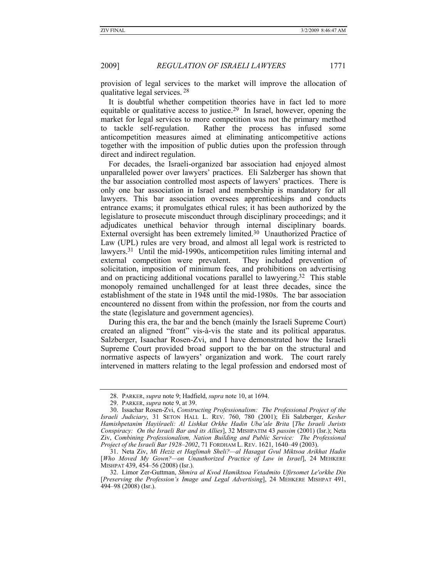provision of legal services to the market will improve the allocation of qualitative legal services. <sup>28</sup>

It is doubtful whether competition theories have in fact led to more equitable or qualitative access to justice.29 In Israel, however, opening the market for legal services to more competition was not the primary method to tackle self-regulation. Rather the process has infused some anticompetition measures aimed at eliminating anticompetitive actions together with the imposition of public duties upon the profession through direct and indirect regulation.

For decades, the Israeli-organized bar association had enjoyed almost unparalleled power over lawyers' practices. Eli Salzberger has shown that the bar association controlled most aspects of lawyers' practices. There is only one bar association in Israel and membership is mandatory for all lawyers. This bar association oversees apprenticeships and conducts entrance exams; it promulgates ethical rules; it has been authorized by the legislature to prosecute misconduct through disciplinary proceedings; and it adjudicates unethical behavior through internal disciplinary boards. External oversight has been extremely limited.30 Unauthorized Practice of Law (UPL) rules are very broad, and almost all legal work is restricted to lawyers.<sup>31</sup> Until the mid-1990s, anticompetition rules limiting internal and external competition were prevalent. They included prevention of solicitation, imposition of minimum fees, and prohibitions on advertising and on practicing additional vocations parallel to lawyering.32 This stable monopoly remained unchallenged for at least three decades, since the establishment of the state in 1948 until the mid-1980s. The bar association encountered no dissent from within the profession, nor from the courts and the state (legislature and government agencies).

During this era, the bar and the bench (mainly the Israeli Supreme Court) created an aligned "front" vis-à-vis the state and its political apparatus. Salzberger, Isaachar Rosen-Zvi, and I have demonstrated how the Israeli Supreme Court provided broad support to the bar on the structural and normative aspects of lawyers' organization and work. The court rarely intervened in matters relating to the legal profession and endorsed most of

 <sup>28.</sup> PARKER, *supra* note 9; Hadfield, *supra* note 10, at 1694.

 <sup>29.</sup> PARKER, *supra* note 9, at 39.

 <sup>30.</sup> Issachar Rosen-Zvi, *Constructing Professionalism: The Professional Project of the Israeli Judiciary*, 31 SETON HALL L. REV. 760, 780 (2001); Eli Salzberger, *Kesher Hamishpetanim Hayiśraeli: Al Lishkat Orkhe Hadin Uba'ale Brita* [*The Israeli Jurists Conspiracy: On the Israeli Bar and its Allies*], 32 MISHPATIM 43 *passim* (2001) (Isr.); Neta Ziv, *Combining Professionalism, Nation Building and Public Service: The Professional Project of the Israeli Bar 1928–2002*, 71 FORDHAM L. REV. 1621, 1640–49 (2003).

 <sup>31.</sup> Neta Ziv, *Mi Heziz et Haglimah Sheli?—al Hasagat Gvul Miktsoa Arikhat Hadin*  [*Who Moved My Gown?—on Unauthorized Practice of Law in Israel*], 24 MEHKERE MISHPAT 439, 454–56 (2008) (Isr.).

 <sup>32.</sup> Limor Zer-Guttman, *Shmira al Kvod Hamiktsoa Vetadmito Ufirsomet Le'orkhe Din* [*Preserving the Profession's Image and Legal Advertising*], 24 MEHKERE MISHPAT 491,  $494 - 98$  (2008) (Isr.).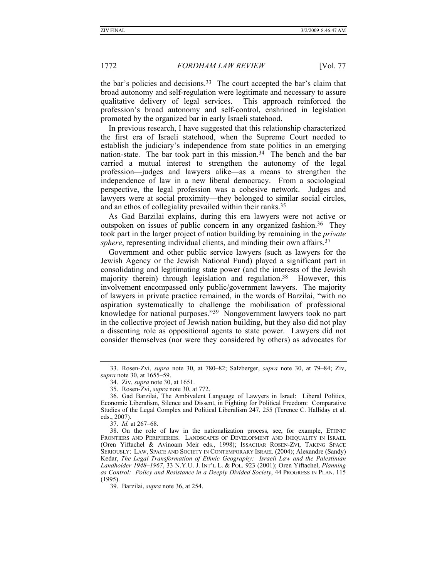the bar's policies and decisions.<sup>33</sup> The court accepted the bar's claim that broad autonomy and self-regulation were legitimate and necessary to assure qualitative delivery of legal services. This approach reinforced the profession's broad autonomy and self-control, enshrined in legislation promoted by the organized bar in early Israeli statehood.

In previous research, I have suggested that this relationship characterized the first era of Israeli statehood, when the Supreme Court needed to establish the judiciary's independence from state politics in an emerging nation-state. The bar took part in this mission.<sup>34</sup> The bench and the bar carried a mutual interest to strengthen the autonomy of the legal profession—judges and lawyers alike—as a means to strengthen the independence of law in a new liberal democracy. From a sociological perspective, the legal profession was a cohesive network. Judges and lawyers were at social proximity—they belonged to similar social circles, and an ethos of collegiality prevailed within their ranks.35

As Gad Barzilai explains, during this era lawyers were not active or outspoken on issues of public concern in any organized fashion.<sup>36</sup> They took part in the larger project of nation building by remaining in the *private sphere*, representing individual clients, and minding their own affairs.<sup>37</sup>

Government and other public service lawyers (such as lawyers for the Jewish Agency or the Jewish National Fund) played a significant part in consolidating and legitimating state power (and the interests of the Jewish majority therein) through legislation and regulation.<sup>38</sup> However, this involvement encompassed only public/government lawyers. The majority of lawyers in private practice remained, in the words of Barzilai, "with no aspiration systematically to challenge the mobilisation of professional knowledge for national purposes."39 Nongovernment lawyers took no part in the collective project of Jewish nation building, but they also did not play a dissenting role as oppositional agents to state power. Lawyers did not consider themselves (nor were they considered by others) as advocates for

37. *Id.* at 267–68.

 <sup>33.</sup> Rosen-Zvi, *supra* note 30, at 780–82; Salzberger, *supra* note 30, at 79–84; Ziv, *supra* note 30, at 1655–59.

 <sup>34.</sup> Ziv, *supra* note 30, at 1651.

 <sup>35.</sup> Rosen-Zvi, *supra* note 30, at 772.

 <sup>36.</sup> Gad Barzilai, The Ambivalent Language of Lawyers in Israel: Liberal Politics, Economic Liberalism, Silence and Dissent, in Fighting for Political Freedom: Comparative Studies of the Legal Complex and Political Liberalism 247, 255 (Terence C. Halliday et al. eds., 2007).

 <sup>38.</sup> On the role of law in the nationalization process, see, for example, ETHNIC FRONTIERS AND PERIPHERIES: LANDSCAPES OF DEVELOPMENT AND INEQUALITY IN ISRAEL (Oren Yiftachel & Avinoam Meir eds., 1998); ISSACHAR ROSEN-ZVI, TAKING SPACE SERIOUSLY: LAW, SPACE AND SOCIETY IN CONTEMPORARY ISRAEL (2004); Alexandre (Sandy) Kedar, *The Legal Transformation of Ethnic Geography: Israeli Law and the Palestinian Landholder 1948–1967*, 33 N.Y.U. J. INT'L L. & POL. 923 (2001); Oren Yiftachel, *Planning as Control: Policy and Resistance in a Deeply Divided Society*, 44 PROGRESS IN PLAN. 115 (1995).

 <sup>39.</sup> Barzilai, *supra* note 36, at 254.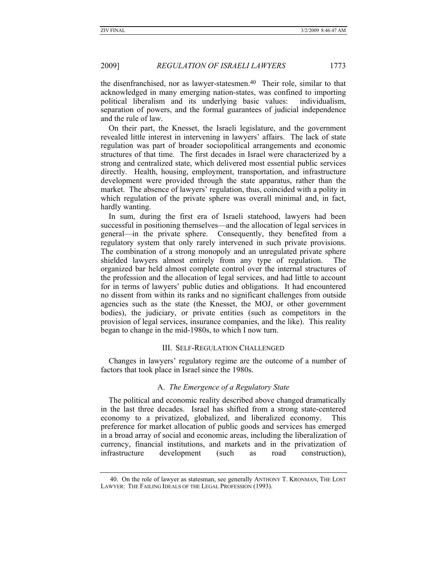the disenfranchised, nor as lawyer-statesmen.<sup>40</sup> Their role, similar to that acknowledged in many emerging nation-states, was confined to importing political liberalism and its underlying basic values: individualism, separation of powers, and the formal guarantees of judicial independence and the rule of law.

On their part, the Knesset, the Israeli legislature, and the government revealed little interest in intervening in lawyers' affairs. The lack of state regulation was part of broader sociopolitical arrangements and economic structures of that time. The first decades in Israel were characterized by a strong and centralized state, which delivered most essential public services directly. Health, housing, employment, transportation, and infrastructure development were provided through the state apparatus, rather than the market. The absence of lawyers' regulation, thus, coincided with a polity in which regulation of the private sphere was overall minimal and, in fact, hardly wanting.

In sum, during the first era of Israeli statehood, lawyers had been successful in positioning themselves—and the allocation of legal services in general—in the private sphere. Consequently, they benefited from a regulatory system that only rarely intervened in such private provisions. The combination of a strong monopoly and an unregulated private sphere shielded lawyers almost entirely from any type of regulation. organized bar held almost complete control over the internal structures of the profession and the allocation of legal services, and had little to account for in terms of lawyers' public duties and obligations. It had encountered no dissent from within its ranks and no significant challenges from outside agencies such as the state (the Knesset, the MOJ, or other government bodies), the judiciary, or private entities (such as competitors in the provision of legal services, insurance companies, and the like). This reality began to change in the mid-1980s, to which I now turn.

#### III. SELF-REGULATION CHALLENGED

Changes in lawyers' regulatory regime are the outcome of a number of factors that took place in Israel since the 1980s.

## A. *The Emergence of a Regulatory State*

The political and economic reality described above changed dramatically in the last three decades. Israel has shifted from a strong state-centered economy to a privatized, globalized, and liberalized economy. This preference for market allocation of public goods and services has emerged in a broad array of social and economic areas, including the liberalization of currency, financial institutions, and markets and in the privatization of infrastructure development (such as road construction),

 <sup>40.</sup> On the role of lawyer as statesman, see generally ANTHONY T. KRONMAN, THE LOST LAWYER: THE FAILING IDEALS OF THE LEGAL PROFESSION (1993).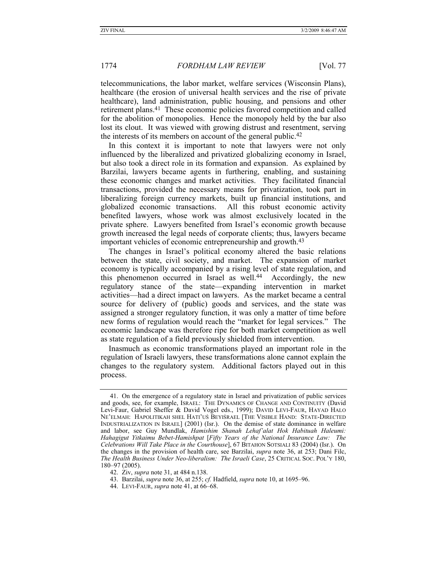telecommunications, the labor market, welfare services (Wisconsin Plans), healthcare (the erosion of universal health services and the rise of private healthcare), land administration, public housing, and pensions and other retirement plans.41 These economic policies favored competition and called for the abolition of monopolies. Hence the monopoly held by the bar also lost its clout. It was viewed with growing distrust and resentment, serving the interests of its members on account of the general public.42

In this context it is important to note that lawyers were not only influenced by the liberalized and privatized globalizing economy in Israel, but also took a direct role in its formation and expansion. As explained by Barzilai, lawyers became agents in furthering, enabling, and sustaining these economic changes and market activities. They facilitated financial transactions, provided the necessary means for privatization, took part in liberalizing foreign currency markets, built up financial institutions, and globalized economic transactions. All this robust economic activity benefited lawyers, whose work was almost exclusively located in the private sphere. Lawyers benefited from Israel's economic growth because growth increased the legal needs of corporate clients; thus, lawyers became important vehicles of economic entrepreneurship and growth.43

The changes in Israel's political economy altered the basic relations between the state, civil society, and market. The expansion of market economy is typically accompanied by a rising level of state regulation, and this phenomenon occurred in Israel as well.<sup>44</sup> Accordingly, the new regulatory stance of the state—expanding intervention in market activities—had a direct impact on lawyers. As the market became a central source for delivery of (public) goods and services, and the state was assigned a stronger regulatory function, it was only a matter of time before new forms of regulation would reach the "market for legal services." The economic landscape was therefore ripe for both market competition as well as state regulation of a field previously shielded from intervention.

Inasmuch as economic transformations played an important role in the regulation of Israeli lawyers, these transformations alone cannot explain the changes to the regulatory system. Additional factors played out in this process.

44. LEVI-FAUR, *supra* note 41, at 66–68.

 <sup>41.</sup> On the emergence of a regulatory state in Israel and privatization of public services and goods, see, for example, ISRAEL: THE DYNAMICS OF CHANGE AND CONTINUITY (David Levi-Faur, Gabriel Sheffer & David Vogel eds., 1999); DAVID LEVI-FAUR, HAYAD HALO NE'ELMAH: HAPOLITIKAH SHEL HATI'UŚ BEYIŚRAEL [THE VISIBLE HAND: STATE-DIRECTED INDUSTRIALIZATION IN ISRAEL] (2001) (Isr.). On the demise of state dominance in welfare and labor, see Guy Mundlak, *Hamishim Shanah Lehaf'alat Hok Habituah Haleumi: Hahagigut Yitkaimu Bebet-Hamishpat* [*Fifty Years of the National Insurance Law: The Celebrations Will Take Place in the Courthouse*], 67 BITAHON SOTSIALI 83 (2004) (Isr.). On the changes in the provision of health care, see Barzilai, *supra* note 36, at 253; Dani Filc, *The Health Business Under Neo-liberalism: The Israeli Case*, 25 CRITICAL SOC. POL'Y 180, 180–97 (2005).

 <sup>42.</sup> Ziv, *supra* note 31, at 484 n.138.

 <sup>43.</sup> Barzilai, *supra* note 36, at 255; *cf.* Hadfield, *supra* note 10, at 1695–96.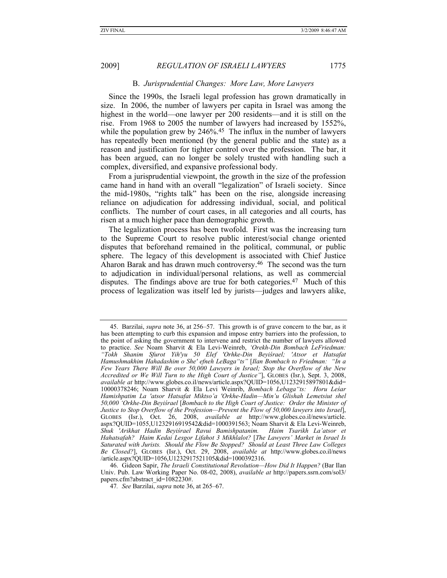#### B. *Jurisprudential Changes: More Law, More Lawyers*

Since the 1990s, the Israeli legal profession has grown dramatically in size. In 2006, the number of lawyers per capita in Israel was among the highest in the world—one lawyer per 200 residents—and it is still on the rise. From 1968 to 2005 the number of lawyers had increased by 1552%, while the population grew by  $246\%$ .<sup>45</sup> The influx in the number of lawyers has repeatedly been mentioned (by the general public and the state) as a reason and justification for tighter control over the profession. The bar, it has been argued, can no longer be solely trusted with handling such a complex, diversified, and expansive professional body.

From a jurisprudential viewpoint, the growth in the size of the profession came hand in hand with an overall "legalization" of Israeli society. Since the mid-1980s, "rights talk" has been on the rise, alongside increasing reliance on adjudication for addressing individual, social, and political conflicts. The number of court cases, in all categories and all courts, has risen at a much higher pace than demographic growth.

The legalization process has been twofold. First was the increasing turn to the Supreme Court to resolve public interest/social change oriented disputes that beforehand remained in the political, communal, or public sphere. The legacy of this development is associated with Chief Justice Aharon Barak and has drawn much controversy.46 The second was the turn to adjudication in individual/personal relations, as well as commercial disputes. The findings above are true for both categories.<sup>47</sup> Much of this process of legalization was itself led by jurists—judges and lawyers alike,

 <sup>45.</sup> Barzilai, *supra* note 36, at 256–57. This growth is of grave concern to the bar, as it has been attempting to curb this expansion and impose entry barriers into the profession, to the point of asking the government to intervene and restrict the number of lawyers allowed to practice. *See* Noam Sharvit & Ela Levi-Weinreb, *'Orekh-Din Bombach LeFriedman: "Tokh Shanim Sfurot Yih′yu 50 Elef ′Orhke-Din Beyiśrael; ′Atsor et Hatsafat Hamushmakhim Hahadashim o She′ efneh LeBaga"ts"* [*Ilan Bombach to Friedman: "In a Few Years There Will Be over 50,000 Lawyers in Israel; Stop the Overflow of the New Accredited or We Will Turn to the High Court of Justice"*], GLOBES (Isr.), Sept. 3, 2008, *available at* http://www.globes.co.il/news/article.aspx?QUID=1056,U1232915897801&did= 10000378246; Noam Sharvit & Ela Levi Weinrib, *Bombach Lebaga"ts: Horu Leśar Hamishpatim La ′atsor Hatsafat Miktso'a ′Orkhe-Hadin—Min'u Glishah Lemetsiut shel 50,000 'Orkhe-Din Beyiśrael* [*Bombach to the High Court of Justice: Order the Minister of Justice to Stop Overflow of the Profession—Prevent the Flow of 50,000 lawyers into Israel*], GLOBES (Isr.), Oct. 26, 2008, *available at* http://www.globes.co.il/news/article. aspx?QUID=1055,U1232916919542&did=1000391563; Noam Sharvit & Ela Levi-Weinreb, *Shuk ′Arikhat Hadin Beyiśrael Ravui Bamishpatanim. Haim Tsarikh La'atsor et Hahatsafah? Haim Kedai Lesgor Lifahot 3 Mikhlalot?* [*The Lawyers' Market in Israel Is Saturated with Jurists. Should the Flow Be Stopped? Should at Least Three Law Colleges Be Closed?*], GLOBES (Isr.), Oct. 29, 2008, *available at* http://www.globes.co.il/news /article.aspx?QUID=1056,U1232917521105&did=1000392316.

 <sup>46.</sup> Gideon Sapir, *The Israeli Constitutional Revolution—How Did It Happen?* (Bar Ilan Univ. Pub. Law Working Paper No. 08-02, 2008), *available at* http://papers.ssrn.com/sol3/ papers.cfm?abstract\_id=1082230#.

<sup>47</sup>*. See* Barzilai, *supra* note 36, at 265–67.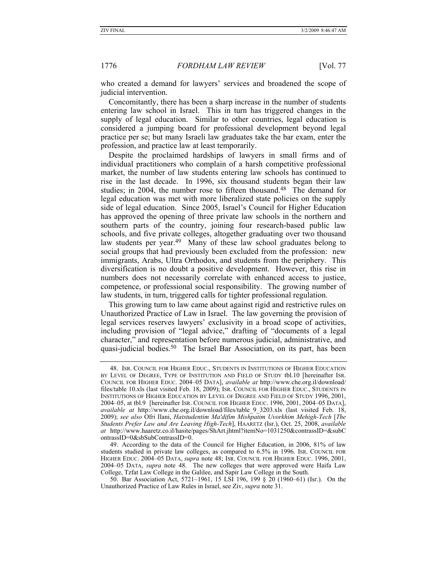who created a demand for lawyers' services and broadened the scope of judicial intervention.

Concomitantly, there has been a sharp increase in the number of students entering law school in Israel. This in turn has triggered changes in the supply of legal education. Similar to other countries, legal education is considered a jumping board for professional development beyond legal practice per se; but many Israeli law graduates take the bar exam, enter the profession, and practice law at least temporarily.

Despite the proclaimed hardships of lawyers in small firms and of individual practitioners who complain of a harsh competitive professional market, the number of law students entering law schools has continued to rise in the last decade. In 1996, six thousand students began their law studies; in 2004, the number rose to fifteen thousand.<sup>48</sup> The demand for legal education was met with more liberalized state policies on the supply side of legal education. Since 2005, Israel's Council for Higher Education has approved the opening of three private law schools in the northern and southern parts of the country, joining four research-based public law schools, and five private colleges, altogether graduating over two thousand law students per year.49 Many of these law school graduates belong to social groups that had previously been excluded from the profession: new immigrants, Arabs, Ultra Orthodox, and students from the periphery. This diversification is no doubt a positive development. However, this rise in numbers does not necessarily correlate with enhanced access to justice, competence, or professional social responsibility. The growing number of law students, in turn, triggered calls for tighter professional regulation.

This growing turn to law came about against rigid and restrictive rules on Unauthorized Practice of Law in Israel. The law governing the provision of legal services reserves lawyers' exclusivity in a broad scope of activities, including provision of "legal advice," drafting of "documents of a legal character," and representation before numerous judicial, administrative, and quasi-judicial bodies.50 The Israel Bar Association, on its part, has been

 <sup>48.</sup> ISR. COUNCIL FOR HIGHER EDUC., STUDENTS IN INSTITUTIONS OF HIGHER EDUCATION BY LEVEL OF DEGREE, TYPE OF INSTITUTION AND FIELD OF STUDY tbl.10 [hereinafter ISR. COUNCIL FOR HIGHER EDUC. 2004–05 DATA], *available at* http://www.che.org.il/download/ files/table 10.xls (last visited Feb. 18, 2009); ISR. COUNCIL FOR HIGHER EDUC., STUDENTS IN INSTITUTIONS OF HIGHER EDUCATION BY LEVEL OF DEGREE AND FIELD OF STUDY 1996, 2001, 2004–05, at tbl.9 [hereinafter ISR. COUNCIL FOR HIGHER EDUC. 1996, 2001, 2004–05 DATA], *available at* http://www.che.org.il/download/files/table\_9\_3203.xls (last visited Feb. 18, 2009); *see also* Ofri Ilani, *Hatstudentim Ma′difim Mishpatim Uvorkhim Mehigh-Tech* [*The Students Prefer Law and Are Leaving High-Tech*], HAARETZ (Isr.), Oct. 25, 2008, *available at* http://www.haaretz.co.il/hasite/pages/ShArt.jhtml?itemNo=1031250&contrassID=&subC ontrassID=0&sbSubContrassID=0.

 <sup>49.</sup> According to the data of the Council for Higher Education, in 2006, 81% of law students studied in private law colleges, as compared to 6.5% in 1996. ISR. COUNCIL FOR HIGHER EDUC. 2004–05 DATA, *supra* note 48; ISR. COUNCIL FOR HIGHER EDUC. 1996, 2001, 2004–05 DATA, *supra* note 48. The new colleges that were approved were Haifa Law College, Tzfat Law College in the Galilee, and Sapir Law College in the South.

 <sup>50.</sup> Bar Association Act, 5721–1961, 15 LSI 196, 199 § 20 (1960–61) (Isr.). On the Unauthorized Practice of Law Rules in Israel, see Ziv, *supra* note 31.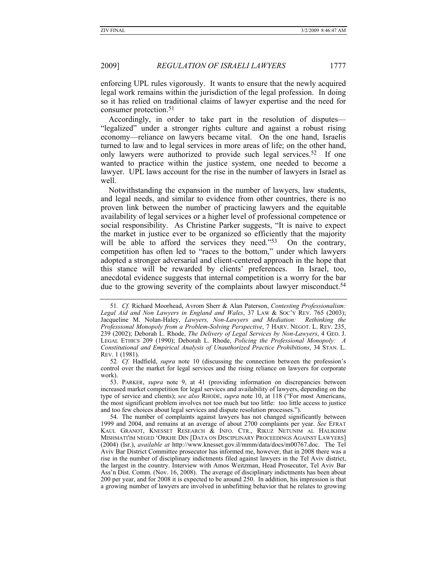enforcing UPL rules vigorously. It wants to ensure that the newly acquired legal work remains within the jurisdiction of the legal profession. In doing so it has relied on traditional claims of lawyer expertise and the need for consumer protection.51

Accordingly, in order to take part in the resolution of disputes— "legalized" under a stronger rights culture and against a robust rising economy—reliance on lawyers became vital. On the one hand, Israelis turned to law and to legal services in more areas of life; on the other hand, only lawyers were authorized to provide such legal services.<sup>52</sup> If one wanted to practice within the justice system, one needed to become a lawyer. UPL laws account for the rise in the number of lawyers in Israel as well.

Notwithstanding the expansion in the number of lawyers, law students, and legal needs, and similar to evidence from other countries, there is no proven link between the number of practicing lawyers and the equitable availability of legal services or a higher level of professional competence or social responsibility. As Christine Parker suggests, "It is naive to expect the market in justice ever to be organized so efficiently that the majority will be able to afford the services they need."<sup>53</sup> On the contrary, competition has often led to "races to the bottom," under which lawyers adopted a stronger adversarial and client-centered approach in the hope that this stance will be rewarded by clients' preferences. In Israel, too, anecdotal evidence suggests that internal competition is a worry for the bar due to the growing severity of the complaints about lawyer misconduct.<sup>54</sup>

<sup>51</sup>*. Cf.* Richard Moorhead, Avrom Sherr & Alan Paterson, *Contesting Professionalism:*  Legal Aid and Non Lawyers in England and Wales, 37 LAW & Soc'y Rev. 765 (2003); Jacqueline M. Nolan-Haley, Lawyers, Non-Lawyers and Mediation: Rethinking the Jacqueline M. Nolan-Haley, *Lawyers, Non-Lawyers and Mediation: Professional Monopoly from a Problem-Solving Perspective*, 7 HARV. NEGOT. L. REV. 235, 239 (2002); Deborah L. Rhode, *The Delivery of Legal Services by Non-Lawyers*, 4 GEO. J. LEGAL ETHICS 209 (1990); Deborah L. Rhode, *Policing the Professional Monopoly: A Constitutional and Empirical Analysis of Unauthorized Practice Prohibitions*, 34 STAN. L. REV. 1 (1981).

<sup>52</sup>*. Cf.* Hadfield, *supra* note 10 (discussing the connection between the profession's control over the market for legal services and the rising reliance on lawyers for corporate work).

 <sup>53.</sup> PARKER, *supra* note 9, at 41 (providing information on discrepancies between increased market competition for legal services and availability of lawyers, depending on the type of service and clients); *see also* RHODE, *supra* note 10, at 118 ("For most Americans, the most significant problem involves not too much but too little: too little access to justice and too few choices about legal services and dispute resolution processes.").

 <sup>54.</sup> The number of complaints against lawyers has not changed significantly between 1999 and 2004, and remains at an average of about 2700 complaints per year. *See* EFRAT KAUL GRANOT, KNESSET RESEARCH & INFO. CTR., RIKUZ NETUNIM AL HALIKHIM MISHMATI′IM NEGED 'ORKHE DIN [DATA ON DISCIPLINARY PROCEEDINGS AGAINST LAWYERS] (2004) (Isr.), *available at* http://www.knesset.gov.il/mmm/data/docs/m00767.doc. The Tel Aviv Bar District Committee prosecutor has informed me, however, that in 2008 there was a rise in the number of disciplinary indictments filed against lawyers in the Tel Aviv district, the largest in the country. Interview with Amos Weitzman, Head Prosecutor, Tel Aviv Bar Ass'n Dist. Comm. (Nov. 16, 2008). The average of disciplinary indictments has been about 200 per year, and for 2008 it is expected to be around 250. In addition, his impression is that a growing number of lawyers are involved in unbefitting behavior that he relates to growing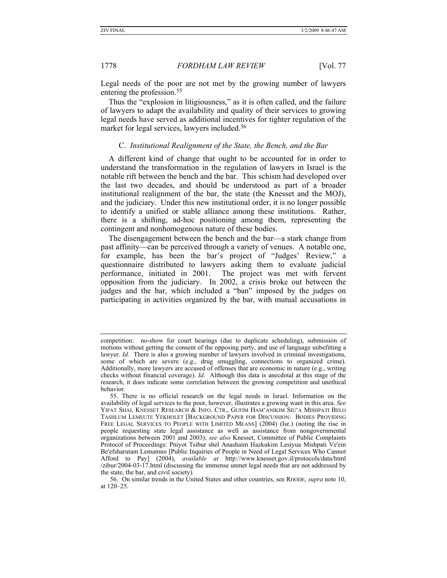Legal needs of the poor are not met by the growing number of lawyers entering the profession.<sup>55</sup>

Thus the "explosion in litigiousness," as it is often called, and the failure of lawyers to adapt the availability and quality of their services to growing legal needs have served as additional incentives for tighter regulation of the market for legal services, lawyers included.<sup>56</sup>

#### C. *Institutional Realignment of the State, the Bench, and the Bar*

A different kind of change that ought to be accounted for in order to understand the transformation in the regulation of lawyers in Israel is the notable rift between the bench and the bar. This schism had developed over the last two decades, and should be understood as part of a broader institutional realignment of the bar, the state (the Knesset and the MOJ), and the judiciary. Under this new institutional order, it is no longer possible to identify a unified or stable alliance among these institutions. Rather, there is a shifting, ad-hoc positioning among them, representing the contingent and nonhomogenous nature of these bodies.

The disengagement between the bench and the bar—a stark change from past affinity—can be perceived through a variety of venues. A notable one, for example, has been the bar's project of "Judges' Review," a questionnaire distributed to lawyers asking them to evaluate judicial performance, initiated in 2001. The project was met with fervent opposition from the judiciary. In 2002, a crisis broke out between the judges and the bar, which included a "ban" imposed by the judges on participating in activities organized by the bar, with mutual accusations in

competition: no-show for court hearings (due to duplicate scheduling), submission of motions without getting the consent of the opposing party, and use of language unbefitting a lawyer. *Id.* There is also a growing number of lawyers involved in criminal investigations, some of which are severe (e.g., drug smuggling, connections to organized crime). Additionally, more lawyers are accused of offenses that are economic in nature (e.g., writing checks without financial coverage). *Id.* Although this data is anecdotal at this stage of the research, it does indicate some correlation between the growing competition and unethical behavior.

 <sup>55.</sup> There is no official research on the legal needs in Israel. Information on the availability of legal services to the poor, however, illustrates a growing want in this area. *See* YIFAT SHAI, KNESSET RESEARCH & INFO. CTR., GUFIM HAM'ANIKIM SIU'A MISHPATI BELO TASHLUM LEMEUTE YEKHOLET [BACKGROUND PAPER FOR DISCUSSION: BODIES PROVIDING FREE LEGAL SERVICES TO PEOPLE WITH LIMITED MEANS] (2004) (Isr.) (noting the rise in people requesting state legal assistance as well as assistance from nongovernmental organizations between 2001 and 2003); *see also* Knesset, Committee of Public Complaints Protocol of Proceedings: Pniyot Tsibur shel Anashaim Hazkukim Lesiyua Mishpati Ve'ein Be'efsharutam Lemamno [Public Inquiries of People in Need of Legal Services Who Cannot Afford to Pay] (2004), *available at* http://www.knesset.gov.il/protocols/data/html /zibur/2004-03-17.html (discussing the immense unmet legal needs that are not addressed by the state, the bar, and civil society).

 <sup>56.</sup> On similar trends in the United States and other countries, see RHODE, *supra* note 10, at 120–25.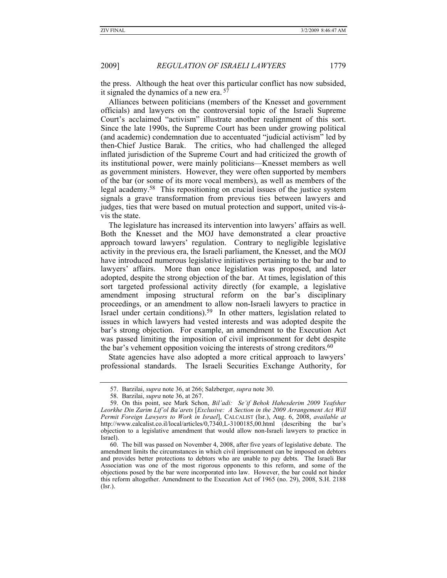the press. Although the heat over this particular conflict has now subsided, it signaled the dynamics of a new era. <sup>57</sup>

Alliances between politicians (members of the Knesset and government officials) and lawyers on the controversial topic of the Israeli Supreme Court's acclaimed "activism" illustrate another realignment of this sort. Since the late 1990s, the Supreme Court has been under growing political (and academic) condemnation due to accentuated "judicial activism" led by then-Chief Justice Barak. The critics, who had challenged the alleged inflated jurisdiction of the Supreme Court and had criticized the growth of its institutional power, were mainly politicians—Knesset members as well as government ministers. However, they were often supported by members of the bar (or some of its more vocal members), as well as members of the legal academy.58 This repositioning on crucial issues of the justice system signals a grave transformation from previous ties between lawyers and judges, ties that were based on mutual protection and support, united vis-àvis the state.

The legislature has increased its intervention into lawyers' affairs as well. Both the Knesset and the MOJ have demonstrated a clear proactive approach toward lawyers' regulation. Contrary to negligible legislative activity in the previous era, the Israeli parliament, the Knesset, and the MOJ have introduced numerous legislative initiatives pertaining to the bar and to lawyers' affairs. More than once legislation was proposed, and later adopted, despite the strong objection of the bar. At times, legislation of this sort targeted professional activity directly (for example, a legislative amendment imposing structural reform on the bar's disciplinary proceedings, or an amendment to allow non-Israeli lawyers to practice in Israel under certain conditions).59 In other matters, legislation related to issues in which lawyers had vested interests and was adopted despite the bar's strong objection. For example, an amendment to the Execution Act was passed limiting the imposition of civil imprisonment for debt despite the bar's vehement opposition voicing the interests of strong creditors.<sup>60</sup>

State agencies have also adopted a more critical approach to lawyers' professional standards. The Israeli Securities Exchange Authority, for

 <sup>57.</sup> Barzilai, *supra* note 36, at 266; Salzberger, *supra* note 30.

 <sup>58.</sup> Barzilai, *supra* note 36, at 267.

 <sup>59.</sup> On this point, see Mark Schon, *Bil'adi: Se'if Behok Hahesderim 2009 Yeafsher Leorkhe Din Zarim Lif'ol Ba'arets* [*Exclusive: A Section in the 2009 Arrangement Act Will Permit Foreign Lawyers to Work in Israel*], CALCALIST (Isr.), Aug. 6, 2008, *available at* http://www.calcalist.co.il/local/articles/0,7340,L-3100185,00.html (describing the bar's objection to a legislative amendment that would allow non-Israeli lawyers to practice in Israel).

 <sup>60.</sup> The bill was passed on November 4, 2008, after five years of legislative debate. The amendment limits the circumstances in which civil imprisonment can be imposed on debtors and provides better protections to debtors who are unable to pay debts. The Israeli Bar Association was one of the most rigorous opponents to this reform, and some of the objections posed by the bar were incorporated into law. However, the bar could not hinder this reform altogether. Amendment to the Execution Act of 1965 (no. 29), 2008, S.H. 2188  $(Isr.).$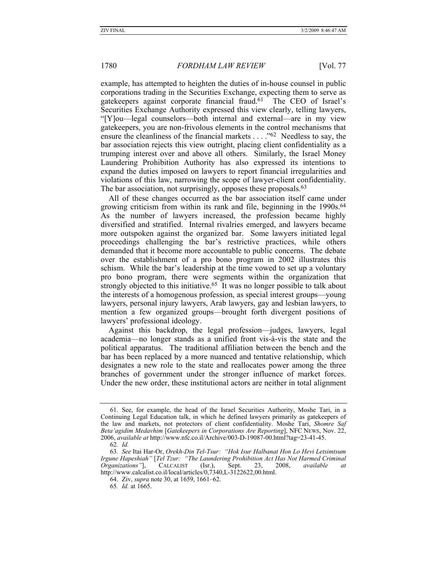example, has attempted to heighten the duties of in-house counsel in public corporations trading in the Securities Exchange, expecting them to serve as gatekeepers against corporate financial fraud.61 The CEO of Israel's Securities Exchange Authority expressed this view clearly, telling lawyers, "[Y]ou—legal counselors—both internal and external—are in my view gatekeepers, you are non-frivolous elements in the control mechanisms that ensure the cleanliness of the financial markets . . . ."62 Needless to say, the bar association rejects this view outright, placing client confidentiality as a trumping interest over and above all others. Similarly, the Israel Money Laundering Prohibition Authority has also expressed its intentions to expand the duties imposed on lawyers to report financial irregularities and violations of this law, narrowing the scope of lawyer-client confidentiality. The bar association, not surprisingly, opposes these proposals.<sup>63</sup>

All of these changes occurred as the bar association itself came under growing criticism from within its rank and file, beginning in the 1990s.<sup>64</sup> As the number of lawyers increased, the profession became highly diversified and stratified. Internal rivalries emerged, and lawyers became more outspoken against the organized bar. Some lawyers initiated legal proceedings challenging the bar's restrictive practices, while others demanded that it become more accountable to public concerns. The debate over the establishment of a pro bono program in 2002 illustrates this schism. While the bar's leadership at the time vowed to set up a voluntary pro bono program, there were segments within the organization that strongly objected to this initiative.<sup>65</sup> It was no longer possible to talk about the interests of a homogenous profession, as special interest groups—young lawyers, personal injury lawyers, Arab lawyers, gay and lesbian lawyers, to mention a few organized groups—brought forth divergent positions of lawyers' professional ideology.

Against this backdrop, the legal profession—judges, lawyers, legal academia—no longer stands as a unified front vis-à-vis the state and the political apparatus. The traditional affiliation between the bench and the bar has been replaced by a more nuanced and tentative relationship, which designates a new role to the state and reallocates power among the three branches of government under the stronger influence of market forces. Under the new order, these institutional actors are neither in total alignment

 <sup>61.</sup> See, for example, the head of the Israel Securities Authority, Moshe Tari, in a Continuing Legal Education talk, in which he defined lawyers primarily as gatekeepers of the law and markets, not protectors of client confidentiality. Moshe Tari, *Shomre Saf Beta'agidim Medavhim* [*Gatekeepers in Corporations Are Reporting*], NFC NEWS, Nov. 22, 2006, *available at* http://www.nfc.co.il/Archive/003-D-19087-00.html?tag=23-41-45.

<sup>62</sup>*. Id.*

<sup>63</sup>*. See* Itai Har-Or, *Orekh-Din Tel-Tsur: "Hok Isur Halbanat Hon Lo Hevi Letsimtsum Irgune Hapeshiah"* [*Tel Tzur: "The Laundering Prohibition Act Has Not Harmed Criminal Organizations"*], CALCALIST (Isr.), Sept. 23, 2008, *available at* http://www.calcalist.co.il/local/articles/0,7340,L-3122622,00.html.

 <sup>64.</sup> Ziv, *supra* note 30, at 1659, 1661–62.

<sup>65</sup>*. Id.* at 1665.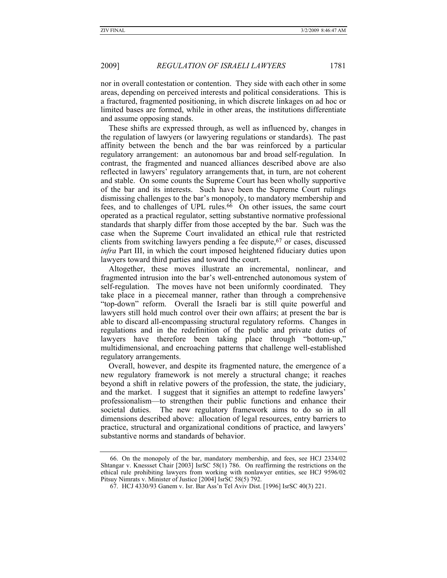nor in overall contestation or contention. They side with each other in some areas, depending on perceived interests and political considerations. This is a fractured, fragmented positioning, in which discrete linkages on ad hoc or limited bases are formed, while in other areas, the institutions differentiate and assume opposing stands.

These shifts are expressed through, as well as influenced by, changes in the regulation of lawyers (or lawyering regulations or standards). The past affinity between the bench and the bar was reinforced by a particular regulatory arrangement: an autonomous bar and broad self-regulation. In contrast, the fragmented and nuanced alliances described above are also reflected in lawyers' regulatory arrangements that, in turn, are not coherent and stable. On some counts the Supreme Court has been wholly supportive of the bar and its interests. Such have been the Supreme Court rulings dismissing challenges to the bar's monopoly, to mandatory membership and fees, and to challenges of UPL rules.66 On other issues, the same court operated as a practical regulator, setting substantive normative professional standards that sharply differ from those accepted by the bar. Such was the case when the Supreme Court invalidated an ethical rule that restricted clients from switching lawyers pending a fee dispute,  $67$  or cases, discussed *infra* Part III, in which the court imposed heightened fiduciary duties upon lawyers toward third parties and toward the court.

Altogether, these moves illustrate an incremental, nonlinear, and fragmented intrusion into the bar's well-entrenched autonomous system of self-regulation. The moves have not been uniformly coordinated. They take place in a piecemeal manner, rather than through a comprehensive "top-down" reform. Overall the Israeli bar is still quite powerful and lawyers still hold much control over their own affairs; at present the bar is able to discard all-encompassing structural regulatory reforms. Changes in regulations and in the redefinition of the public and private duties of lawyers have therefore been taking place through "bottom-up," multidimensional, and encroaching patterns that challenge well-established regulatory arrangements.

Overall, however, and despite its fragmented nature, the emergence of a new regulatory framework is not merely a structural change; it reaches beyond a shift in relative powers of the profession, the state, the judiciary, and the market. I suggest that it signifies an attempt to redefine lawyers' professionalism—to strengthen their public functions and enhance their societal duties. The new regulatory framework aims to do so in all dimensions described above: allocation of legal resources, entry barriers to practice, structural and organizational conditions of practice, and lawyers' substantive norms and standards of behavior.

 <sup>66.</sup> On the monopoly of the bar, mandatory membership, and fees, see HCJ 2334/02 Shtangar v. Knessset Chair [2003] IsrSC 58(1) 786. On reaffirming the restrictions on the ethical rule prohibiting lawyers from working with nonlawyer entities, see HCJ 9596/02 Pitsuy Nimrats v. Minister of Justice [2004] IsrSC 58(5) 792.

 <sup>67.</sup> HCJ 4330/93 Ganem v. Isr. Bar Ass'n Tel Aviv Dist. [1996] IsrSC 40(3) 221.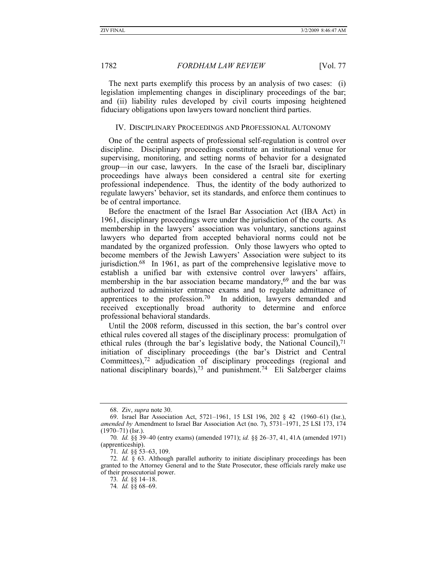The next parts exemplify this process by an analysis of two cases: (i) legislation implementing changes in disciplinary proceedings of the bar; and (ii) liability rules developed by civil courts imposing heightened fiduciary obligations upon lawyers toward nonclient third parties.

#### IV. DISCIPLINARY PROCEEDINGS AND PROFESSIONAL AUTONOMY

One of the central aspects of professional self-regulation is control over discipline. Disciplinary proceedings constitute an institutional venue for supervising, monitoring, and setting norms of behavior for a designated group—in our case, lawyers. In the case of the Israeli bar, disciplinary proceedings have always been considered a central site for exerting professional independence. Thus, the identity of the body authorized to regulate lawyers' behavior, set its standards, and enforce them continues to be of central importance.

Before the enactment of the Israel Bar Association Act (IBA Act) in 1961, disciplinary proceedings were under the jurisdiction of the courts. As membership in the lawyers' association was voluntary, sanctions against lawyers who departed from accepted behavioral norms could not be mandated by the organized profession. Only those lawyers who opted to become members of the Jewish Lawyers' Association were subject to its jurisdiction.68 In 1961, as part of the comprehensive legislative move to establish a unified bar with extensive control over lawyers' affairs, membership in the bar association became mandatory, $69$  and the bar was authorized to administer entrance exams and to regulate admittance of apprentices to the profession.70 In addition, lawyers demanded and received exceptionally broad authority to determine and enforce professional behavioral standards.

Until the 2008 reform, discussed in this section, the bar's control over ethical rules covered all stages of the disciplinary process: promulgation of ethical rules (through the bar's legislative body, the National Council),<sup>71</sup> initiation of disciplinary proceedings (the bar's District and Central Committees),72 adjudication of disciplinary proceedings (regional and national disciplinary boards),<sup>73</sup> and punishment.<sup>74</sup> Eli Salzberger claims

 <sup>68.</sup> Ziv, *supra* note 30.

 <sup>69.</sup> Israel Bar Association Act, 5721–1961, 15 LSI 196, 202 § 42 (1960–61) (Isr.), *amended by* Amendment to Israel Bar Association Act (no. 7), 5731–1971, 25 LSI 173, 174  $(1970-71)$  (Isr.).

<sup>70</sup>*. Id.* §§ 39–40 (entry exams) (amended 1971); *id.* §§ 26–37, 41, 41A (amended 1971) (apprenticeship).

<sup>71</sup>*. Id.* §§ 53–63, 109.

<sup>72</sup>*. Id.* § 63. Although parallel authority to initiate disciplinary proceedings has been granted to the Attorney General and to the State Prosecutor, these officials rarely make use of their prosecutorial power.

<sup>73</sup>*. Id.* §§ 14–18.

<sup>74</sup>*. Id.* §§ 68–69.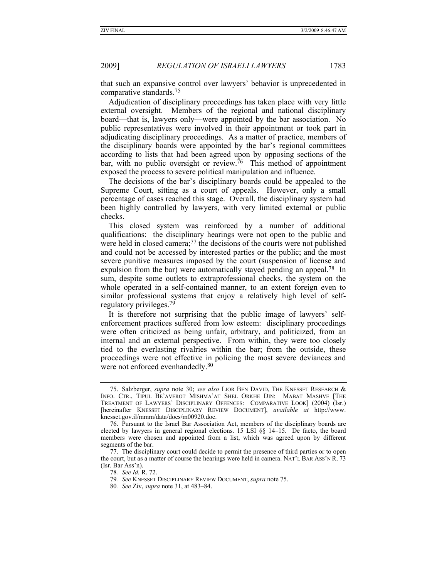that such an expansive control over lawyers' behavior is unprecedented in comparative standards.75

Adjudication of disciplinary proceedings has taken place with very little external oversight. Members of the regional and national disciplinary board—that is, lawyers only—were appointed by the bar association. No public representatives were involved in their appointment or took part in adjudicating disciplinary proceedings. As a matter of practice, members of the disciplinary boards were appointed by the bar's regional committees according to lists that had been agreed upon by opposing sections of the bar, with no public oversight or review.76 This method of appointment exposed the process to severe political manipulation and influence.

The decisions of the bar's disciplinary boards could be appealed to the Supreme Court, sitting as a court of appeals. However, only a small percentage of cases reached this stage. Overall, the disciplinary system had been highly controlled by lawyers, with very limited external or public checks.

This closed system was reinforced by a number of additional qualifications: the disciplinary hearings were not open to the public and were held in closed camera;<sup>77</sup> the decisions of the courts were not published and could not be accessed by interested parties or the public; and the most severe punitive measures imposed by the court (suspension of license and expulsion from the bar) were automatically stayed pending an appeal.<sup>78</sup> In sum, despite some outlets to extraprofessional checks, the system on the whole operated in a self-contained manner, to an extent foreign even to similar professional systems that enjoy a relatively high level of selfregulatory privileges.79

It is therefore not surprising that the public image of lawyers' selfenforcement practices suffered from low esteem: disciplinary proceedings were often criticized as being unfair, arbitrary, and politicized, from an internal and an external perspective. From within, they were too closely tied to the everlasting rivalries within the bar; from the outside, these proceedings were not effective in policing the most severe deviances and were not enforced evenhandedly.<sup>80</sup>

 <sup>75.</sup> Salzberger, *supra* note 30; *see also* LIOR BEN DAVID, THE KNESSET RESEARCH & INFO. CTR., TIPUL BE'AVEROT MISHMA'AT SHEL ORKHE DIN: MABAT MASHVE [THE TREATMENT OF LAWYERS' DISCIPLINARY OFFENCES: COMPARATIVE LOOK] (2004) (Isr.) [hereinafter KNESSET DISCIPLINARY REVIEW DOCUMENT], *available at* http://www. knesset.gov.il/mmm/data/docs/m00920.doc.

 <sup>76.</sup> Pursuant to the Israel Bar Association Act, members of the disciplinary boards are elected by lawyers in general regional elections. 15 LSI §§ 14–15. De facto, the board members were chosen and appointed from a list, which was agreed upon by different segments of the bar.

 <sup>77.</sup> The disciplinary court could decide to permit the presence of third parties or to open the court, but as a matter of course the hearings were held in camera. NAT'L BAR ASS'N R. 73 (Isr. Bar Ass'n).

<sup>78</sup>*. See Id.* R. 72.

<sup>79</sup>*. See* KNESSET DISCIPLINARY REVIEW DOCUMENT, *supra* note 75.

<sup>80</sup>*. See* Ziv, *supra* note 31, at 483–84.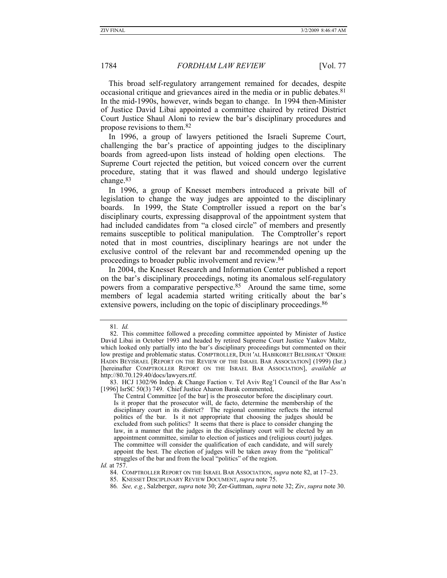This broad self-regulatory arrangement remained for decades, despite occasional critique and grievances aired in the media or in public debates.81 In the mid-1990s, however, winds began to change. In 1994 then-Minister of Justice David Libai appointed a committee chaired by retired District Court Justice Shaul Aloni to review the bar's disciplinary procedures and propose revisions to them.82

In 1996, a group of lawyers petitioned the Israeli Supreme Court, challenging the bar's practice of appointing judges to the disciplinary boards from agreed-upon lists instead of holding open elections. The Supreme Court rejected the petition, but voiced concern over the current procedure, stating that it was flawed and should undergo legislative change.83

In 1996, a group of Knesset members introduced a private bill of legislation to change the way judges are appointed to the disciplinary boards. In 1999, the State Comptroller issued a report on the bar's disciplinary courts, expressing disapproval of the appointment system that had included candidates from "a closed circle" of members and presently remains susceptible to political manipulation. The Comptroller's report noted that in most countries, disciplinary hearings are not under the exclusive control of the relevant bar and recommended opening up the proceedings to broader public involvement and review.84

In 2004, the Knesset Research and Information Center published a report on the bar's disciplinary proceedings, noting its anomalous self-regulatory powers from a comparative perspective.85 Around the same time, some members of legal academia started writing critically about the bar's extensive powers, including on the topic of disciplinary proceedings.<sup>86</sup>

*Id.* at 757.

<sup>81</sup>*. Id.*

 <sup>82.</sup> This committee followed a preceding committee appointed by Minister of Justice David Libai in October 1993 and headed by retired Supreme Court Justice Yaakov Maltz, which looked only partially into the bar's disciplinary proceedings but commented on their low prestige and problematic status. COMPTROLLER, DUH ′AL HABIKORET BELISHKAT 'ORKHE HADIN BEYIŚRAEL [REPORT ON THE REVIEW OF THE ISRAEL BAR ASSOCIATION] (1999) (Isr.) [hereinafter COMPTROLLER REPORT ON THE ISRAEL BAR ASSOCIATION], *available at* http://80.70.129.40/docs/lawyers.rtf.

 <sup>83.</sup> HCJ 1302/96 Indep. & Change Faction v. Tel Aviv Reg'l Council of the Bar Ass'n [1996] IsrSC 50(3) 749. Chief Justice Aharon Barak commented,

The Central Committee [of the bar] is the prosecutor before the disciplinary court. Is it proper that the prosecutor will, de facto, determine the membership of the disciplinary court in its district? The regional committee reflects the internal politics of the bar. Is it not appropriate that choosing the judges should be excluded from such politics? It seems that there is place to consider changing the law, in a manner that the judges in the disciplinary court will be elected by an appointment committee, similar to election of justices and (religious court) judges. The committee will consider the qualification of each candidate, and will surely appoint the best. The election of judges will be taken away from the "political" struggles of the bar and from the local "politics" of the region.

 <sup>84.</sup> COMPTROLLER REPORT ON THE ISRAEL BAR ASSOCIATION, *supra* note 82, at 17–23.

 <sup>85.</sup> KNESSET DISCIPLINARY REVIEW DOCUMENT, *supra* note 75.

<sup>86</sup>*. See, e.g.*, Salzberger, *supra* note 30; Zer-Guttman, *supra* note 32; Ziv, *supra* note 30.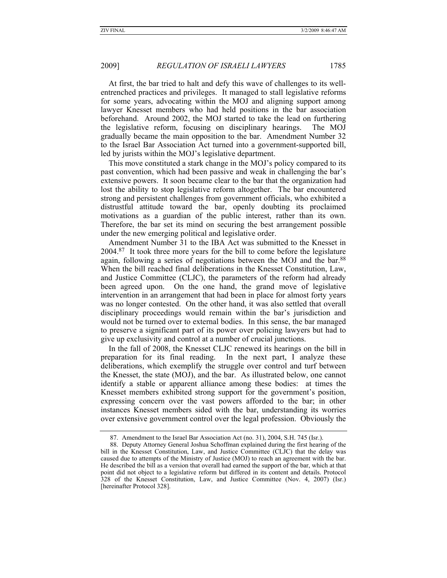At first, the bar tried to halt and defy this wave of challenges to its wellentrenched practices and privileges. It managed to stall legislative reforms for some years, advocating within the MOJ and aligning support among lawyer Knesset members who had held positions in the bar association beforehand. Around 2002, the MOJ started to take the lead on furthering the legislative reform, focusing on disciplinary hearings. The MOJ gradually became the main opposition to the bar. Amendment Number 32 to the Israel Bar Association Act turned into a government-supported bill, led by jurists within the MOJ's legislative department.

This move constituted a stark change in the MOJ's policy compared to its past convention, which had been passive and weak in challenging the bar's extensive powers. It soon became clear to the bar that the organization had lost the ability to stop legislative reform altogether. The bar encountered strong and persistent challenges from government officials, who exhibited a distrustful attitude toward the bar, openly doubting its proclaimed motivations as a guardian of the public interest, rather than its own. Therefore, the bar set its mind on securing the best arrangement possible under the new emerging political and legislative order.

Amendment Number 31 to the IBA Act was submitted to the Knesset in 2004.87 It took three more years for the bill to come before the legislature again, following a series of negotiations between the MOJ and the bar.88 When the bill reached final deliberations in the Knesset Constitution, Law, and Justice Committee (CLJC), the parameters of the reform had already been agreed upon. On the one hand, the grand move of legislative intervention in an arrangement that had been in place for almost forty years was no longer contested. On the other hand, it was also settled that overall disciplinary proceedings would remain within the bar's jurisdiction and would not be turned over to external bodies. In this sense, the bar managed to preserve a significant part of its power over policing lawyers but had to give up exclusivity and control at a number of crucial junctions.

In the fall of 2008, the Knesset CLJC renewed its hearings on the bill in preparation for its final reading. In the next part, I analyze these deliberations, which exemplify the struggle over control and turf between the Knesset, the state (MOJ), and the bar. As illustrated below, one cannot identify a stable or apparent alliance among these bodies: at times the Knesset members exhibited strong support for the government's position, expressing concern over the vast powers afforded to the bar; in other instances Knesset members sided with the bar, understanding its worries over extensive government control over the legal profession. Obviously the

 <sup>87.</sup> Amendment to the Israel Bar Association Act (no. 31), 2004, S.H. 745 (Isr.).

 <sup>88.</sup> Deputy Attorney General Joshua Schoffman explained during the first hearing of the bill in the Knesset Constitution, Law, and Justice Committee (CLJC) that the delay was caused due to attempts of the Ministry of Justice (MOJ) to reach an agreement with the bar. He described the bill as a version that overall had earned the support of the bar, which at that point did not object to a legislative reform but differed in its content and details. Protocol 328 of the Knesset Constitution, Law, and Justice Committee (Nov. 4, 2007) (Isr.) [hereinafter Protocol 328].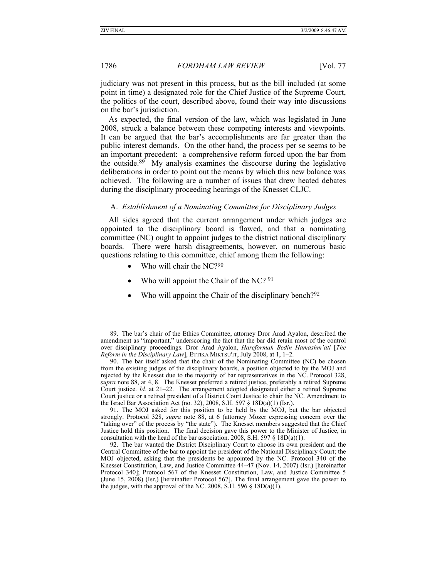judiciary was not present in this process, but as the bill included (at some point in time) a designated role for the Chief Justice of the Supreme Court, the politics of the court, described above, found their way into discussions on the bar's jurisdiction.

As expected, the final version of the law, which was legislated in June 2008, struck a balance between these competing interests and viewpoints. It can be argued that the bar's accomplishments are far greater than the public interest demands. On the other hand, the process per se seems to be an important precedent: a comprehensive reform forced upon the bar from the outside.89 My analysis examines the discourse during the legislative deliberations in order to point out the means by which this new balance was achieved. The following are a number of issues that drew heated debates during the disciplinary proceeding hearings of the Knesset CLJC.

#### A. *Establishment of a Nominating Committee for Disciplinary Judges*

All sides agreed that the current arrangement under which judges are appointed to the disciplinary board is flawed, and that a nominating committee (NC) ought to appoint judges to the district national disciplinary boards. There were harsh disagreements, however, on numerous basic questions relating to this committee, chief among them the following:

- Who will chair the NC?90
- Who will appoint the Chair of the NC?  $91$
- Who will appoint the Chair of the disciplinary bench? $92$

 91. The MOJ asked for this position to be held by the MOJ, but the bar objected strongly. Protocol 328, *supra* note 88, at 6 (attorney Mozer expressing concern over the "taking over" of the process by "the state"). The Knesset members suggested that the Chief Justice hold this position. The final decision gave this power to the Minister of Justice, in consultation with the head of the bar association. 2008, S.H. 597 § 18D(a)(1).

 <sup>89.</sup> The bar's chair of the Ethics Committee, attorney Dror Arad Ayalon, described the amendment as "important," underscoring the fact that the bar did retain most of the control over disciplinary proceedings. Dror Arad Ayalon, *Hareformah Bedin Hamashm'ati* [*The Reform in the Disciplinary Law*], ETTIKA MIKTSU′IT, July 2008, at 1, 1–2.

 <sup>90.</sup> The bar itself asked that the chair of the Nominating Committee (NC) be chosen from the existing judges of the disciplinary boards, a position objected to by the MOJ and rejected by the Knesset due to the majority of bar representatives in the NC. Protocol 328, *supra* note 88, at 4, 8. The Knesset preferred a retired justice, preferably a retired Supreme Court justice. *Id.* at 21–22. The arrangement adopted designated either a retired Supreme Court justice or a retired president of a District Court Justice to chair the NC. Amendment to the Israel Bar Association Act (no. 32), 2008, S.H. 597 § 18D(a)(1) (Isr.).

 <sup>92.</sup> The bar wanted the District Disciplinary Court to choose its own president and the Central Committee of the bar to appoint the president of the National Disciplinary Court; the MOJ objected, asking that the presidents be appointed by the NC. Protocol 340 of the Knesset Constitution, Law, and Justice Committee 44–47 (Nov. 14, 2007) (Isr.) [hereinafter Protocol 340]; Protocol 567 of the Knesset Constitution, Law, and Justice Committee 5 (June 15, 2008) (Isr.) [hereinafter Protocol 567]. The final arrangement gave the power to the judges, with the approval of the NC. 2008, S.H. 596  $\S$  18D(a)(1).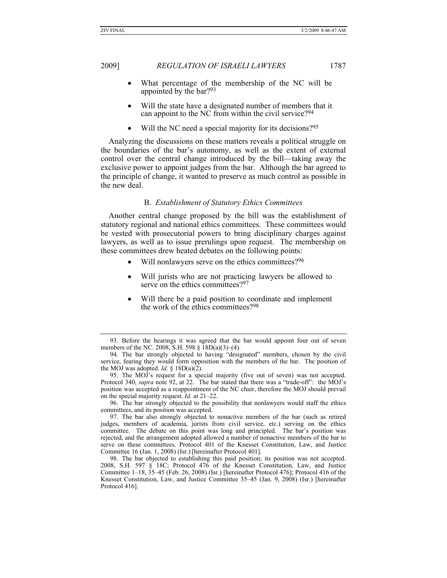- 
- What percentage of the membership of the NC will be appointed by the bar?93
- Will the state have a designated number of members that it can appoint to the NC from within the civil service?94
- Will the NC need a special majority for its decisions?<sup>95</sup>

Analyzing the discussions on these matters reveals a political struggle on the boundaries of the bar's autonomy, as well as the extent of external control over the central change introduced by the bill—taking away the exclusive power to appoint judges from the bar. Although the bar agreed to the principle of change, it wanted to preserve as much control as possible in the new deal.

## B. *Establishment of Statutory Ethics Committees*

Another central change proposed by the bill was the establishment of statutory regional and national ethics committees. These committees would be vested with prosecutorial powers to bring disciplinary charges against lawyers, as well as to issue prerulings upon request. The membership on these committees drew heated debates on the following points:

- Will nonlawyers serve on the ethics committees?<sup>96</sup>
- Will jurists who are not practicing lawyers be allowed to serve on the ethics committees?<sup>97</sup>
- Will there be a paid position to coordinate and implement the work of the ethics committees?98

 <sup>93.</sup> Before the hearings it was agreed that the bar would appoint four out of seven members of the NC. 2008, S.H. 598 § 18D(a)(3)–(4).

 <sup>94.</sup> The bar strongly objected to having "designated" members, chosen by the civil service, fearing they would form opposition with the members of the bar. The position of the MOJ was adopted. *Id.* § 18D(a)(2).

 <sup>95.</sup> The MOJ's request for a special majority (five out of seven) was not accepted. Protocol 340, *supra* note 92, at 22. The bar stated that there was a "trade-off": the MOJ's position was accepted as a reappointment of the NC chair, therefore the MOJ should prevail on the special majority request. *Id.* at 21–22.

 <sup>96.</sup> The bar strongly objected to the possibility that nonlawyers would staff the ethics committees, and its position was accepted.

 <sup>97.</sup> The bar also strongly objected to nonactive members of the bar (such as retired judges, members of academia, jurists from civil service, etc.) serving on the ethics committee. The debate on this point was long and principled. The bar's position was rejected, and the arrangement adopted allowed a number of nonactive members of the bar to serve on these committees. Protocol 401 of the Knesset Constitution, Law, and Justice Committee 16 (Jan. 1, 2008) (Isr.) [hereinafter Protocol 401].

 <sup>98.</sup> The bar objected to establishing this paid position; its position was not accepted. 2008, S.H. 597 § 18C; Protocol 476 of the Knesset Constitution, Law, and Justice Committee 1–18, 35–45 (Feb. 26, 2008) (Isr.) [hereinafter Protocol 476]; Protocol 416 of the Knesset Constitution, Law, and Justice Committee 35–45 (Jan. 9, 2008) (Isr.) [hereinafter Protocol 416].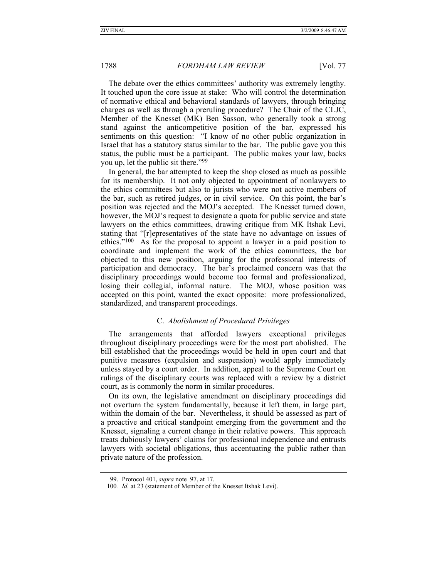The debate over the ethics committees' authority was extremely lengthy. It touched upon the core issue at stake: Who will control the determination of normative ethical and behavioral standards of lawyers, through bringing charges as well as through a preruling procedure? The Chair of the CLJC, Member of the Knesset (MK) Ben Sasson, who generally took a strong stand against the anticompetitive position of the bar, expressed his sentiments on this question: "I know of no other public organization in Israel that has a statutory status similar to the bar. The public gave you this status, the public must be a participant. The public makes your law, backs you up, let the public sit there."99

In general, the bar attempted to keep the shop closed as much as possible for its membership. It not only objected to appointment of nonlawyers to the ethics committees but also to jurists who were not active members of the bar, such as retired judges, or in civil service. On this point, the bar's position was rejected and the MOJ's accepted. The Knesset turned down, however, the MOJ's request to designate a quota for public service and state lawyers on the ethics committees, drawing critique from MK Itshak Levi, stating that "[r]epresentatives of the state have no advantage on issues of ethics."100 As for the proposal to appoint a lawyer in a paid position to coordinate and implement the work of the ethics committees, the bar objected to this new position, arguing for the professional interests of participation and democracy. The bar's proclaimed concern was that the disciplinary proceedings would become too formal and professionalized, losing their collegial, informal nature. The MOJ, whose position was accepted on this point, wanted the exact opposite: more professionalized, standardized, and transparent proceedings.

#### C. *Abolishment of Procedural Privileges*

The arrangements that afforded lawyers exceptional privileges throughout disciplinary proceedings were for the most part abolished. The bill established that the proceedings would be held in open court and that punitive measures (expulsion and suspension) would apply immediately unless stayed by a court order. In addition, appeal to the Supreme Court on rulings of the disciplinary courts was replaced with a review by a district court, as is commonly the norm in similar procedures.

On its own, the legislative amendment on disciplinary proceedings did not overturn the system fundamentally, because it left them, in large part, within the domain of the bar. Nevertheless, it should be assessed as part of a proactive and critical standpoint emerging from the government and the Knesset, signaling a current change in their relative powers. This approach treats dubiously lawyers' claims for professional independence and entrusts lawyers with societal obligations, thus accentuating the public rather than private nature of the profession.

 <sup>99.</sup> Protocol 401, *supra* note 97, at 17.

<sup>100</sup>*. Id.* at 23 (statement of Member of the Knesset Itshak Levi).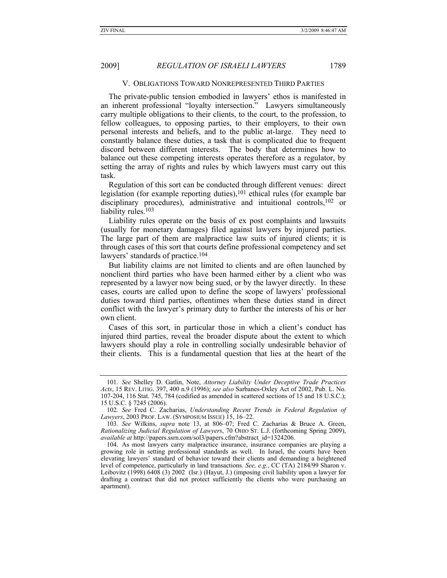#### V. OBLIGATIONS TOWARD NONREPRESENTED THIRD PARTIES

The private-public tension embodied in lawyers' ethos is manifested in an inherent professional "loyalty intersection." Lawyers simultaneously carry multiple obligations to their clients, to the court, to the profession, to fellow colleagues, to opposing parties, to their employers, to their own personal interests and beliefs, and to the public at-large. They need to constantly balance these duties, a task that is complicated due to frequent discord between different interests. The body that determines how to balance out these competing interests operates therefore as a regulator, by setting the array of rights and rules by which lawyers must carry out this task.

Regulation of this sort can be conducted through different venues: direct legislation (for example reporting duties), $101$  ethical rules (for example bar disciplinary procedures), administrative and intuitional controls,<sup>102</sup> or liability rules.<sup>103</sup>

Liability rules operate on the basis of ex post complaints and lawsuits (usually for monetary damages) filed against lawyers by injured parties. The large part of them are malpractice law suits of injured clients; it is through cases of this sort that courts define professional competency and set lawyers' standards of practice.<sup>104</sup>

But liability claims are not limited to clients and are often launched by nonclient third parties who have been harmed either by a client who was represented by a lawyer now being sued, or by the lawyer directly. In these cases, courts are called upon to define the scope of lawyers' professional duties toward third parties, oftentimes when these duties stand in direct conflict with the lawyer's primary duty to further the interests of his or her own client.

Cases of this sort, in particular those in which a client's conduct has injured third parties, reveal the broader dispute about the extent to which lawyers should play a role in controlling socially undesirable behavior of their clients. This is a fundamental question that lies at the heart of the

<sup>101</sup>*. See* Shelley D. Gatlin, Note, *Attorney Liability Under Deceptive Trade Practices Acts*, 15 REV. LITIG. 397, 400 n.9 (1996); *see also* Sarbanes-Oxley Act of 2002, Pub. L. No. 107-204, 116 Stat. 745, 784 (codified as amended in scattered sections of 15 and 18 U.S.C.); 15 U.S.C. § 7245 (2006).

<sup>102</sup>*. See* Fred C. Zacharias, *Understanding Recent Trends in Federal Regulation of Lawyers*, 2003 PROF. LAW. (SYMPOSIUM ISSUE) 15, 16–22.

<sup>103</sup>*. See* Wilkins, *supra* note 13, at 806–07; Fred C. Zacharias & Bruce A. Green, *Rationalizing Judicial Regulation of Lawyers*, 70 OHIO ST. L.J. (forthcoming Spring 2009), *available at* http://papers.ssrn.com/sol3/papers.cfm?abstract\_id=1324206.

 <sup>104.</sup> As most lawyers carry malpractice insurance, insurance companies are playing a growing role in setting professional standards as well. In Israel, the courts have been elevating lawyers' standard of behavior toward their clients and demanding a heightened level of competence, particularly in land transactions. *See, e.g.*, CC (TA) 2184/99 Sharon v. Leibovitz (1998) 6408 (3) 2002 (Isr.) (Hayut, J.) (imposing civil liability upon a lawyer for drafting a contract that did not protect sufficiently the clients who were purchasing an apartment).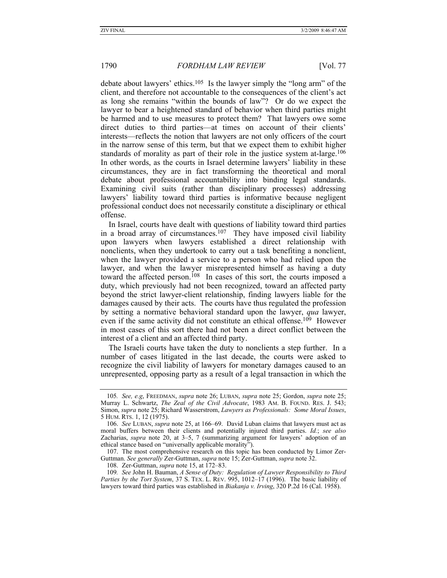debate about lawyers' ethics.105 Is the lawyer simply the "long arm" of the client, and therefore not accountable to the consequences of the client's act as long she remains "within the bounds of law"? Or do we expect the lawyer to bear a heightened standard of behavior when third parties might be harmed and to use measures to protect them? That lawyers owe some direct duties to third parties—at times on account of their clients' interests—reflects the notion that lawyers are not only officers of the court in the narrow sense of this term, but that we expect them to exhibit higher standards of morality as part of their role in the justice system at-large.<sup>106</sup> In other words, as the courts in Israel determine lawyers' liability in these circumstances, they are in fact transforming the theoretical and moral debate about professional accountability into binding legal standards. Examining civil suits (rather than disciplinary processes) addressing lawyers' liability toward third parties is informative because negligent professional conduct does not necessarily constitute a disciplinary or ethical offense.

In Israel, courts have dealt with questions of liability toward third parties in a broad array of circumstances.<sup>107</sup> They have imposed civil liability upon lawyers when lawyers established a direct relationship with nonclients, when they undertook to carry out a task benefiting a nonclient, when the lawyer provided a service to a person who had relied upon the lawyer, and when the lawyer misrepresented himself as having a duty toward the affected person.<sup>108</sup> In cases of this sort, the courts imposed a duty, which previously had not been recognized, toward an affected party beyond the strict lawyer-client relationship, finding lawyers liable for the damages caused by their acts. The courts have thus regulated the profession by setting a normative behavioral standard upon the lawyer, *qua* lawyer, even if the same activity did not constitute an ethical offense.<sup>109</sup> However in most cases of this sort there had not been a direct conflict between the interest of a client and an affected third party.

The Israeli courts have taken the duty to nonclients a step further. In a number of cases litigated in the last decade, the courts were asked to recognize the civil liability of lawyers for monetary damages caused to an unrepresented, opposing party as a result of a legal transaction in which the

<sup>105</sup>*. See, e.g*, FREEDMAN, *supra* note 26; LUBAN, *supra* note 25; Gordon, *supra* note 25; Murray L. Schwartz, *The Zeal of the Civil Advocate*, 1983 AM. B. FOUND. RES. J. 543; Simon, *supra* note 25; Richard Wasserstrom, *Lawyers as Professionals: Some Moral Issues*, 5 HUM. RTS. 1, 12 (1975).

 <sup>106.</sup> *See* LUBAN, *supra* note 25, at 166–69. David Luban claims that lawyers must act as moral buffers between their clients and potentially injured third parties. *Id.*; *see also* Zacharias, *supra* note 20, at 3–5, 7 (summarizing argument for lawyers' adoption of an ethical stance based on "universally applicable morality").

 <sup>107.</sup> The most comprehensive research on this topic has been conducted by Limor Zer-Guttman. *See generally* Zer-Guttman, *supra* note 15; Zer-Guttman, *supra* note 32.

 <sup>108.</sup> Zer-Guttman, *supra* note 15, at 172–83.

<sup>109</sup>*. See* John H. Bauman, *A Sense of Duty: Regulation of Lawyer Responsibility to Third Parties by the Tort System*, 37 S. TEX. L. REV. 995, 1012–17 (1996). The basic liability of lawyers toward third parties was established in *Biakanja v. Irving*, 320 P.2d 16 (Cal. 1958).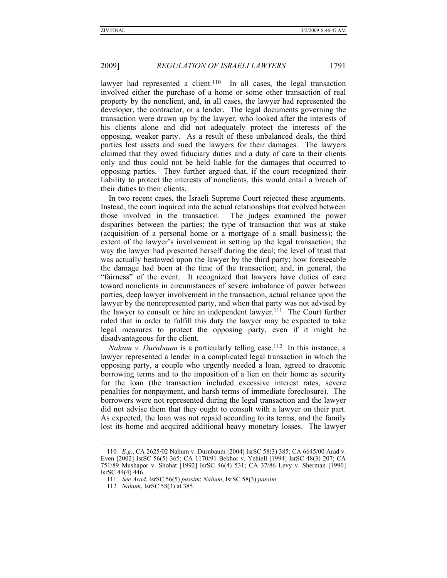lawyer had represented a client.<sup>110</sup> In all cases, the legal transaction involved either the purchase of a home or some other transaction of real property by the nonclient, and, in all cases, the lawyer had represented the developer, the contractor, or a lender. The legal documents governing the transaction were drawn up by the lawyer, who looked after the interests of his clients alone and did not adequately protect the interests of the opposing, weaker party. As a result of these unbalanced deals, the third parties lost assets and sued the lawyers for their damages. The lawyers claimed that they owed fiduciary duties and a duty of care to their clients only and thus could not be held liable for the damages that occurred to opposing parties. They further argued that, if the court recognized their liability to protect the interests of nonclients, this would entail a breach of their duties to their clients.

In two recent cases, the Israeli Supreme Court rejected these arguments. Instead, the court inquired into the actual relationships that evolved between those involved in the transaction. The judges examined the power disparities between the parties; the type of transaction that was at stake (acquisition of a personal home or a mortgage of a small business); the extent of the lawyer's involvement in setting up the legal transaction; the way the lawyer had presented herself during the deal; the level of trust that was actually bestowed upon the lawyer by the third party; how foreseeable the damage had been at the time of the transaction; and, in general, the "fairness" of the event. It recognized that lawyers have duties of care toward nonclients in circumstances of severe imbalance of power between parties, deep lawyer involvement in the transaction, actual reliance upon the lawyer by the nonrepresented party, and when that party was not advised by the lawyer to consult or hire an independent lawyer.111 The Court further ruled that in order to fulfill this duty the lawyer may be expected to take legal measures to protect the opposing party, even if it might be disadvantageous for the client.

*Nahum v. Durnbaum* is a particularly telling case.<sup>112</sup> In this instance, a lawyer represented a lender in a complicated legal transaction in which the opposing party, a couple who urgently needed a loan, agreed to draconic borrowing terms and to the imposition of a lien on their home as security for the loan (the transaction included excessive interest rates, severe penalties for nonpayment, and harsh terms of immediate foreclosure). The borrowers were not represented during the legal transaction and the lawyer did not advise them that they ought to consult with a lawyer on their part. As expected, the loan was not repaid according to its terms, and the family lost its home and acquired additional heavy monetary losses. The lawyer

<sup>110</sup>*. E.g.*, CA 2625/02 Nahum v. Durnbaum [2004] IsrSC 58(3) 385; CA 6645/00 Arad v. Even [2002] IsrSC 56(5) 365; CA 1170/91 Bekhor v. Yehiell [1994] IsrSC 48(3) 207; CA 751/89 Mushapor v. Shohat [1992] IsrSC 46(4) 531; CA 37/86 Levy v. Sherman [1990] IsrSC 44(4) 446.

<sup>111</sup>*. See Arad*, IsrSC 56(5) *passim*; *Nahum*, IsrSC 58(3) *passim*.

<sup>112</sup>*. Nahum*, IsrSC 58(3) at 385.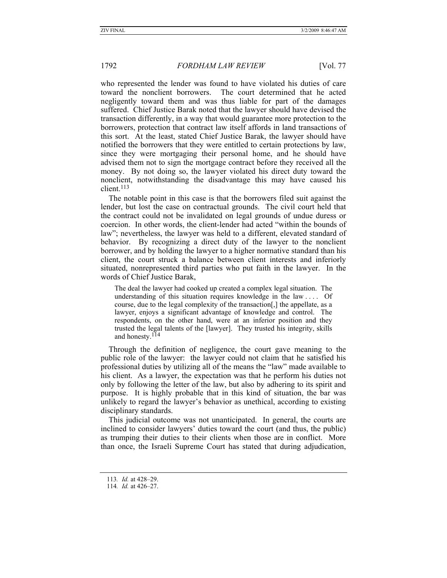who represented the lender was found to have violated his duties of care toward the nonclient borrowers. The court determined that he acted negligently toward them and was thus liable for part of the damages suffered. Chief Justice Barak noted that the lawyer should have devised the transaction differently, in a way that would guarantee more protection to the borrowers, protection that contract law itself affords in land transactions of this sort. At the least, stated Chief Justice Barak, the lawyer should have notified the borrowers that they were entitled to certain protections by law, since they were mortgaging their personal home, and he should have advised them not to sign the mortgage contract before they received all the money. By not doing so, the lawyer violated his direct duty toward the nonclient, notwithstanding the disadvantage this may have caused his client<sup>113</sup>

The notable point in this case is that the borrowers filed suit against the lender, but lost the case on contractual grounds. The civil court held that the contract could not be invalidated on legal grounds of undue duress or coercion. In other words, the client-lender had acted "within the bounds of law"; nevertheless, the lawyer was held to a different, elevated standard of behavior. By recognizing a direct duty of the lawyer to the nonclient borrower, and by holding the lawyer to a higher normative standard than his client, the court struck a balance between client interests and inferiorly situated, nonrepresented third parties who put faith in the lawyer. In the words of Chief Justice Barak,

The deal the lawyer had cooked up created a complex legal situation. The understanding of this situation requires knowledge in the law . . . . Of course, due to the legal complexity of the transaction[,] the appellate, as a lawyer, enjoys a significant advantage of knowledge and control. The respondents, on the other hand, were at an inferior position and they trusted the legal talents of the [lawyer]. They trusted his integrity, skills and honesty.114

Through the definition of negligence, the court gave meaning to the public role of the lawyer: the lawyer could not claim that he satisfied his professional duties by utilizing all of the means the "law" made available to his client. As a lawyer, the expectation was that he perform his duties not only by following the letter of the law, but also by adhering to its spirit and purpose. It is highly probable that in this kind of situation, the bar was unlikely to regard the lawyer's behavior as unethical, according to existing disciplinary standards.

This judicial outcome was not unanticipated. In general, the courts are inclined to consider lawyers' duties toward the court (and thus, the public) as trumping their duties to their clients when those are in conflict. More than once, the Israeli Supreme Court has stated that during adjudication,

<sup>113</sup>*. Id.* at 428–29.

<sup>114</sup>*. Id.* at 426–27.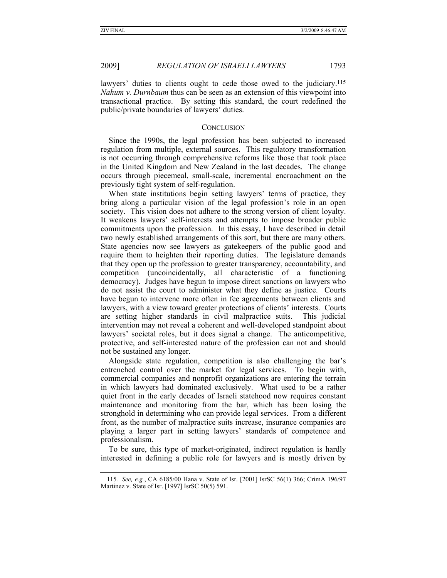lawyers' duties to clients ought to cede those owed to the judiciary.<sup>115</sup> *Nahum v. Durnbaum* thus can be seen as an extension of this viewpoint into transactional practice. By setting this standard, the court redefined the public/private boundaries of lawyers' duties.

#### **CONCLUSION**

Since the 1990s, the legal profession has been subjected to increased regulation from multiple, external sources. This regulatory transformation is not occurring through comprehensive reforms like those that took place in the United Kingdom and New Zealand in the last decades. The change occurs through piecemeal, small-scale, incremental encroachment on the previously tight system of self-regulation.

When state institutions begin setting lawyers' terms of practice, they bring along a particular vision of the legal profession's role in an open society. This vision does not adhere to the strong version of client loyalty. It weakens lawyers' self-interests and attempts to impose broader public commitments upon the profession. In this essay, I have described in detail two newly established arrangements of this sort, but there are many others. State agencies now see lawyers as gatekeepers of the public good and require them to heighten their reporting duties. The legislature demands that they open up the profession to greater transparency, accountability, and competition (uncoincidentally, all characteristic of a functioning democracy). Judges have begun to impose direct sanctions on lawyers who do not assist the court to administer what they define as justice. Courts have begun to intervene more often in fee agreements between clients and lawyers, with a view toward greater protections of clients' interests. Courts are setting higher standards in civil malpractice suits. This judicial intervention may not reveal a coherent and well-developed standpoint about lawyers' societal roles, but it does signal a change. The anticompetitive, protective, and self-interested nature of the profession can not and should not be sustained any longer.

Alongside state regulation, competition is also challenging the bar's entrenched control over the market for legal services. To begin with, commercial companies and nonprofit organizations are entering the terrain in which lawyers had dominated exclusively. What used to be a rather quiet front in the early decades of Israeli statehood now requires constant maintenance and monitoring from the bar, which has been losing the stronghold in determining who can provide legal services. From a different front, as the number of malpractice suits increase, insurance companies are playing a larger part in setting lawyers' standards of competence and professionalism.

To be sure, this type of market-originated, indirect regulation is hardly interested in defining a public role for lawyers and is mostly driven by

<sup>115</sup>*. See, e.g.*, CA 6185/00 Hana v. State of Isr. [2001] IsrSC 56(1) 366; CrimA 196/97 Martinez v. State of Isr. [1997] IsrSC 50(5) 591.